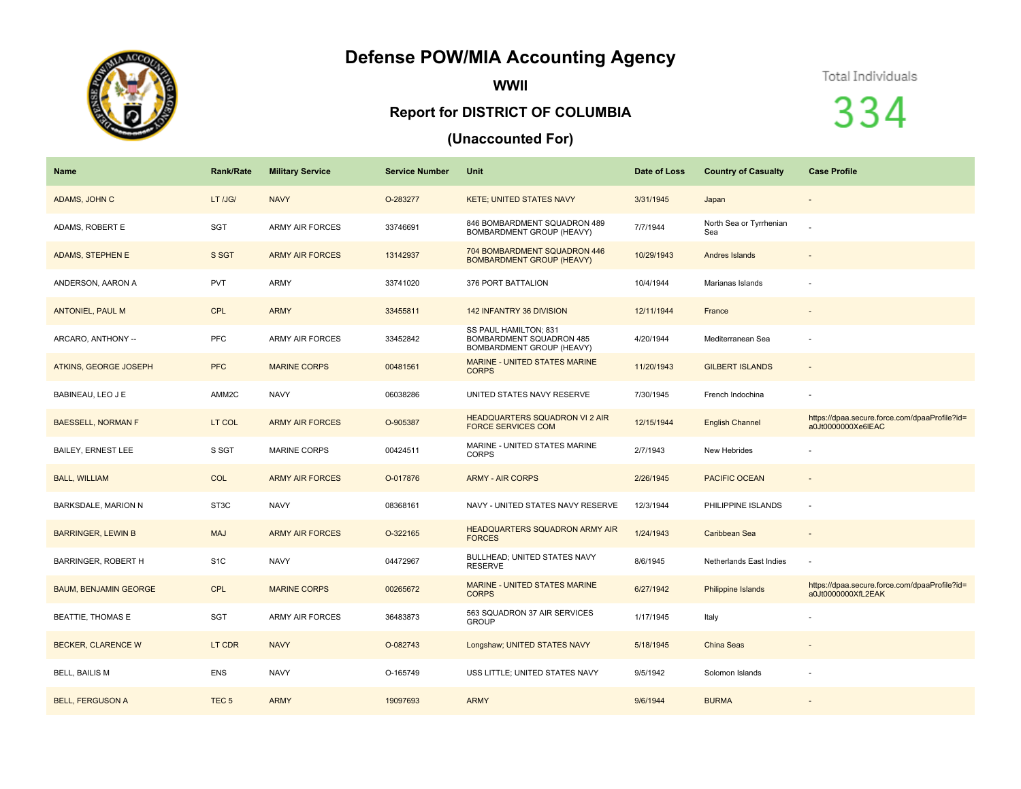## **Defense POW/MIA Accounting Agency**



**WWII**

## **Report for DISTRICT OF COLUMBIA**

## **(Unaccounted For)**

Total Individuals

334

| <b>Name</b>                  | <b>Rank/Rate</b> | <b>Military Service</b> | <b>Service Number</b> | Unit                                                                           | Date of Loss | <b>Country of Casualty</b>     | <b>Case Profile</b>                                                 |
|------------------------------|------------------|-------------------------|-----------------------|--------------------------------------------------------------------------------|--------------|--------------------------------|---------------------------------------------------------------------|
| ADAMS, JOHN C                | LT /JG/          | <b>NAVY</b>             | O-283277              | <b>KETE; UNITED STATES NAVY</b>                                                | 3/31/1945    | Japan                          |                                                                     |
| ADAMS, ROBERT E              | <b>SGT</b>       | <b>ARMY AIR FORCES</b>  | 33746691              | 846 BOMBARDMENT SQUADRON 489<br>BOMBARDMENT GROUP (HEAVY)                      | 7/7/1944     | North Sea or Tyrrhenian<br>Sea |                                                                     |
| <b>ADAMS, STEPHEN E</b>      | S SGT            | <b>ARMY AIR FORCES</b>  | 13142937              | 704 BOMBARDMENT SQUADRON 446<br><b>BOMBARDMENT GROUP (HEAVY)</b>               | 10/29/1943   | Andres Islands                 |                                                                     |
| ANDERSON, AARON A            | <b>PVT</b>       | <b>ARMY</b>             | 33741020              | 376 PORT BATTALION                                                             | 10/4/1944    | Marianas Islands               |                                                                     |
| <b>ANTONIEL, PAUL M</b>      | <b>CPL</b>       | <b>ARMY</b>             | 33455811              | 142 INFANTRY 36 DIVISION                                                       | 12/11/1944   | France                         | $\overline{\phantom{a}}$                                            |
| ARCARO, ANTHONY --           | <b>PFC</b>       | <b>ARMY AIR FORCES</b>  | 33452842              | SS PAUL HAMILTON; 831<br>BOMBARDMENT SQUADRON 485<br>BOMBARDMENT GROUP (HEAVY) | 4/20/1944    | Mediterranean Sea              |                                                                     |
| <b>ATKINS, GEORGE JOSEPH</b> | <b>PFC</b>       | <b>MARINE CORPS</b>     | 00481561              | <b>MARINE - UNITED STATES MARINE</b><br><b>CORPS</b>                           | 11/20/1943   | <b>GILBERT ISLANDS</b>         | $\blacksquare$                                                      |
| BABINEAU, LEO J E            | AMM2C            | <b>NAVY</b>             | 06038286              | UNITED STATES NAVY RESERVE                                                     | 7/30/1945    | French Indochina               | ä,                                                                  |
| <b>BAESSELL, NORMAN F</b>    | LT COL           | <b>ARMY AIR FORCES</b>  | O-905387              | <b>HEADQUARTERS SQUADRON VI 2 AIR</b><br><b>FORCE SERVICES COM</b>             | 12/15/1944   | <b>English Channel</b>         | https://dpaa.secure.force.com/dpaaProfile?id=<br>a0Jt0000000Xe6IEAC |
| <b>BAILEY, ERNEST LEE</b>    | S SGT            | <b>MARINE CORPS</b>     | 00424511              | MARINE - UNITED STATES MARINE<br><b>CORPS</b>                                  | 2/7/1943     | New Hebrides                   | $\blacksquare$                                                      |
| <b>BALL, WILLIAM</b>         | <b>COL</b>       | <b>ARMY AIR FORCES</b>  | O-017876              | <b>ARMY - AIR CORPS</b>                                                        | 2/26/1945    | PACIFIC OCEAN                  | $\overline{\phantom{a}}$                                            |
| BARKSDALE, MARION N          | ST3C             | <b>NAVY</b>             | 08368161              | NAVY - UNITED STATES NAVY RESERVE                                              | 12/3/1944    | PHILIPPINE ISLANDS             | $\overline{\phantom{a}}$                                            |
| <b>BARRINGER, LEWIN B</b>    | <b>MAJ</b>       | <b>ARMY AIR FORCES</b>  | O-322165              | <b>HEADQUARTERS SQUADRON ARMY AIR</b><br><b>FORCES</b>                         | 1/24/1943    | Caribbean Sea                  | $\overline{\phantom{a}}$                                            |
| BARRINGER, ROBERT H          | S <sub>1</sub> C | <b>NAVY</b>             | 04472967              | BULLHEAD; UNITED STATES NAVY<br><b>RESERVE</b>                                 | 8/6/1945     | Netherlands East Indies        |                                                                     |
| <b>BAUM, BENJAMIN GEORGE</b> | <b>CPL</b>       | <b>MARINE CORPS</b>     | 00265672              | <b>MARINE - UNITED STATES MARINE</b><br><b>CORPS</b>                           | 6/27/1942    | Philippine Islands             | https://dpaa.secure.force.com/dpaaProfile?id=<br>a0Jt0000000XfL2EAK |
| <b>BEATTIE, THOMAS E</b>     | <b>SGT</b>       | <b>ARMY AIR FORCES</b>  | 36483873              | 563 SQUADRON 37 AIR SERVICES<br><b>GROUP</b>                                   | 1/17/1945    | Italy                          |                                                                     |
| <b>BECKER, CLARENCE W</b>    | LT CDR           | <b>NAVY</b>             | O-082743              | Longshaw; UNITED STATES NAVY                                                   | 5/18/1945    | China Seas                     |                                                                     |
| <b>BELL, BAILIS M</b>        | <b>ENS</b>       | <b>NAVY</b>             | O-165749              | USS LITTLE; UNITED STATES NAVY                                                 | 9/5/1942     | Solomon Islands                | ٠                                                                   |
| <b>BELL, FERGUSON A</b>      | TEC <sub>5</sub> | <b>ARMY</b>             | 19097693              | <b>ARMY</b>                                                                    | 9/6/1944     | <b>BURMA</b>                   |                                                                     |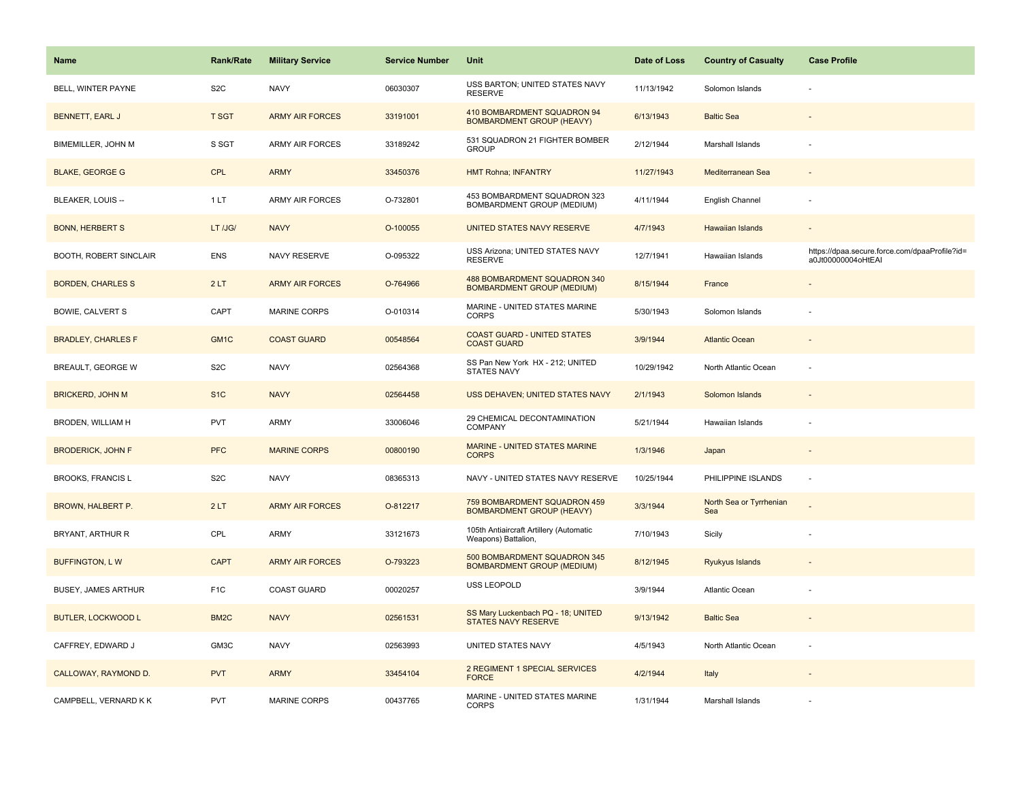| <b>Name</b>               | <b>Rank/Rate</b>  | <b>Military Service</b> | <b>Service Number</b> | Unit                                                              | Date of Loss | <b>Country of Casualty</b>     | <b>Case Profile</b>                                                 |
|---------------------------|-------------------|-------------------------|-----------------------|-------------------------------------------------------------------|--------------|--------------------------------|---------------------------------------------------------------------|
| BELL, WINTER PAYNE        | S <sub>2</sub> C  | <b>NAVY</b>             | 06030307              | USS BARTON; UNITED STATES NAVY<br><b>RESERVE</b>                  | 11/13/1942   | Solomon Islands                |                                                                     |
| BENNETT, EARL J           | <b>T SGT</b>      | <b>ARMY AIR FORCES</b>  | 33191001              | 410 BOMBARDMENT SQUADRON 94<br><b>BOMBARDMENT GROUP (HEAVY)</b>   | 6/13/1943    | <b>Baltic Sea</b>              |                                                                     |
| BIMEMILLER, JOHN M        | S SGT             | <b>ARMY AIR FORCES</b>  | 33189242              | 531 SQUADRON 21 FIGHTER BOMBER<br><b>GROUP</b>                    | 2/12/1944    | Marshall Islands               |                                                                     |
| <b>BLAKE, GEORGE G</b>    | <b>CPL</b>        | <b>ARMY</b>             | 33450376              | <b>HMT Rohna; INFANTRY</b>                                        | 11/27/1943   | Mediterranean Sea              |                                                                     |
| BLEAKER, LOUIS --         | 1LT               | <b>ARMY AIR FORCES</b>  | O-732801              | 453 BOMBARDMENT SQUADRON 323<br>BOMBARDMENT GROUP (MEDIUM)        | 4/11/1944    | English Channel                |                                                                     |
| <b>BONN, HERBERT S</b>    | LT /JG/           | <b>NAVY</b>             | O-100055              | UNITED STATES NAVY RESERVE                                        | 4/7/1943     | Hawaiian Islands               |                                                                     |
| BOOTH, ROBERT SINCLAIR    | <b>ENS</b>        | NAVY RESERVE            | O-095322              | USS Arizona; UNITED STATES NAVY<br><b>RESERVE</b>                 | 12/7/1941    | Hawaiian Islands               | https://dpaa.secure.force.com/dpaaProfile?id=<br>a0Jt00000004oHtEAI |
| <b>BORDEN, CHARLES S</b>  | 2LT               | <b>ARMY AIR FORCES</b>  | O-764966              | 488 BOMBARDMENT SQUADRON 340<br><b>BOMBARDMENT GROUP (MEDIUM)</b> | 8/15/1944    | France                         |                                                                     |
| BOWIE, CALVERT S          | CAPT              | <b>MARINE CORPS</b>     | O-010314              | MARINE - UNITED STATES MARINE<br>CORPS                            | 5/30/1943    | Solomon Islands                |                                                                     |
| <b>BRADLEY, CHARLES F</b> | GM <sub>1</sub> C | <b>COAST GUARD</b>      | 00548564              | <b>COAST GUARD - UNITED STATES</b><br><b>COAST GUARD</b>          | 3/9/1944     | <b>Atlantic Ocean</b>          |                                                                     |
| BREAULT, GEORGE W         | S <sub>2</sub> C  | <b>NAVY</b>             | 02564368              | SS Pan New York HX - 212; UNITED<br><b>STATES NAVY</b>            | 10/29/1942   | North Atlantic Ocean           |                                                                     |
| <b>BRICKERD, JOHN M</b>   | S <sub>1C</sub>   | <b>NAVY</b>             | 02564458              | USS DEHAVEN; UNITED STATES NAVY                                   | 2/1/1943     | Solomon Islands                |                                                                     |
| BRODEN, WILLIAM H         | <b>PVT</b>        | <b>ARMY</b>             | 33006046              | 29 CHEMICAL DECONTAMINATION<br>COMPANY                            | 5/21/1944    | Hawaiian Islands               |                                                                     |
| <b>BRODERICK, JOHN F</b>  | <b>PFC</b>        | <b>MARINE CORPS</b>     | 00800190              | MARINE - UNITED STATES MARINE<br><b>CORPS</b>                     | 1/3/1946     | Japan                          |                                                                     |
| <b>BROOKS, FRANCIS L</b>  | S <sub>2</sub> C  | <b>NAVY</b>             | 08365313              | NAVY - UNITED STATES NAVY RESERVE                                 | 10/25/1944   | PHILIPPINE ISLANDS             | ÷,                                                                  |
| <b>BROWN, HALBERT P.</b>  | 2LT               | <b>ARMY AIR FORCES</b>  | O-812217              | 759 BOMBARDMENT SQUADRON 459<br><b>BOMBARDMENT GROUP (HEAVY)</b>  | 3/3/1944     | North Sea or Tyrrhenian<br>Sea | $\overline{a}$                                                      |
| BRYANT, ARTHUR R          | CPL               | ARMY                    | 33121673              | 105th Antiaircraft Artillery (Automatic<br>Weapons) Battalion,    | 7/10/1943    | Sicily                         |                                                                     |
| <b>BUFFINGTON, LW</b>     | <b>CAPT</b>       | <b>ARMY AIR FORCES</b>  | O-793223              | 500 BOMBARDMENT SQUADRON 345<br><b>BOMBARDMENT GROUP (MEDIUM)</b> | 8/12/1945    | Ryukyus Islands                |                                                                     |
| BUSEY, JAMES ARTHUR       | F <sub>1</sub> C  | COAST GUARD             | 00020257              | USS LEOPOLD                                                       | 3/9/1944     | Atlantic Ocean                 |                                                                     |
| <b>BUTLER, LOCKWOOD L</b> | BM <sub>2</sub> C | <b>NAVY</b>             | 02561531              | SS Mary Luckenbach PQ - 18; UNITED<br><b>STATES NAVY RESERVE</b>  | 9/13/1942    | <b>Baltic Sea</b>              |                                                                     |
| CAFFREY, EDWARD J         | GM3C              | <b>NAVY</b>             | 02563993              | UNITED STATES NAVY                                                | 4/5/1943     | North Atlantic Ocean           |                                                                     |
| CALLOWAY, RAYMOND D.      | <b>PVT</b>        | <b>ARMY</b>             | 33454104              | 2 REGIMENT 1 SPECIAL SERVICES<br><b>FORCE</b>                     | 4/2/1944     | Italy                          |                                                                     |
| CAMPBELL, VERNARD K K     | PVT               | MARINE CORPS            | 00437765              | MARINE - UNITED STATES MARINE<br><b>CORPS</b>                     | 1/31/1944    | Marshall Islands               |                                                                     |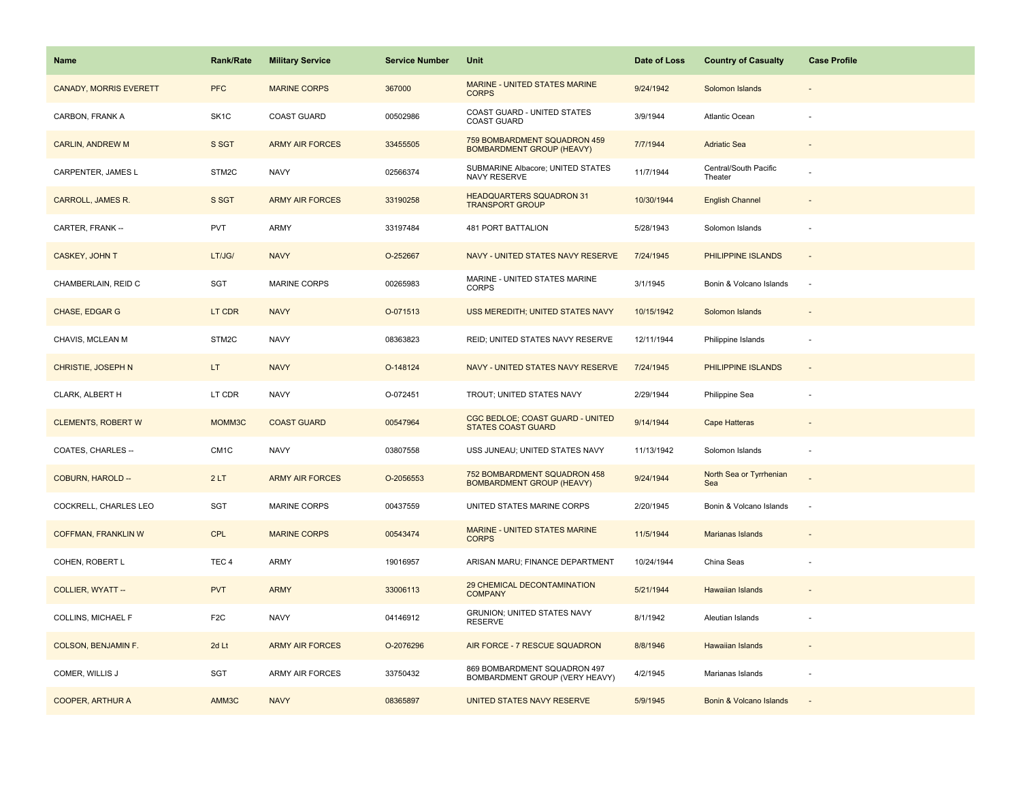| Name                          | <b>Rank/Rate</b>  | <b>Military Service</b> | <b>Service Number</b> | Unit                                                             | Date of Loss | <b>Country of Casualty</b>       | <b>Case Profile</b> |
|-------------------------------|-------------------|-------------------------|-----------------------|------------------------------------------------------------------|--------------|----------------------------------|---------------------|
| <b>CANADY, MORRIS EVERETT</b> | <b>PFC</b>        | <b>MARINE CORPS</b>     | 367000                | MARINE - UNITED STATES MARINE<br><b>CORPS</b>                    | 9/24/1942    | Solomon Islands                  |                     |
| CARBON, FRANK A               | SK <sub>1</sub> C | <b>COAST GUARD</b>      | 00502986              | COAST GUARD - UNITED STATES<br><b>COAST GUARD</b>                | 3/9/1944     | Atlantic Ocean                   |                     |
| <b>CARLIN, ANDREW M</b>       | S SGT             | <b>ARMY AIR FORCES</b>  | 33455505              | 759 BOMBARDMENT SQUADRON 459<br><b>BOMBARDMENT GROUP (HEAVY)</b> | 7/7/1944     | <b>Adriatic Sea</b>              |                     |
| CARPENTER, JAMES L            | STM2C             | <b>NAVY</b>             | 02566374              | SUBMARINE Albacore; UNITED STATES<br>NAVY RESERVE                | 11/7/1944    | Central/South Pacific<br>Theater |                     |
| <b>CARROLL, JAMES R.</b>      | S SGT             | <b>ARMY AIR FORCES</b>  | 33190258              | <b>HEADQUARTERS SQUADRON 31</b><br><b>TRANSPORT GROUP</b>        | 10/30/1944   | <b>English Channel</b>           |                     |
| CARTER, FRANK --              | <b>PVT</b>        | ARMY                    | 33197484              | <b>481 PORT BATTALION</b>                                        | 5/28/1943    | Solomon Islands                  |                     |
| CASKEY, JOHN T                | LT/JG/            | <b>NAVY</b>             | O-252667              | NAVY - UNITED STATES NAVY RESERVE                                | 7/24/1945    | PHILIPPINE ISLANDS               | $\sim$              |
| CHAMBERLAIN, REID C           | SGT               | <b>MARINE CORPS</b>     | 00265983              | MARINE - UNITED STATES MARINE<br><b>CORPS</b>                    | 3/1/1945     | Bonin & Volcano Islands          | $\sim$              |
| CHASE, EDGAR G                | LT CDR            | <b>NAVY</b>             | O-071513              | USS MEREDITH; UNITED STATES NAVY                                 | 10/15/1942   | Solomon Islands                  |                     |
| CHAVIS, MCLEAN M              | STM2C             | <b>NAVY</b>             | 08363823              | REID; UNITED STATES NAVY RESERVE                                 | 12/11/1944   | Philippine Islands               |                     |
| <b>CHRISTIE, JOSEPH N</b>     | LT.               | <b>NAVY</b>             | O-148124              | NAVY - UNITED STATES NAVY RESERVE                                | 7/24/1945    | PHILIPPINE ISLANDS               |                     |
| CLARK, ALBERT H               | LT CDR            | <b>NAVY</b>             | O-072451              | TROUT; UNITED STATES NAVY                                        | 2/29/1944    | Philippine Sea                   |                     |
| <b>CLEMENTS, ROBERT W</b>     | MOMM3C            | <b>COAST GUARD</b>      | 00547964              | CGC BEDLOE; COAST GUARD - UNITED<br><b>STATES COAST GUARD</b>    | 9/14/1944    | <b>Cape Hatteras</b>             |                     |
| COATES, CHARLES --            | CM <sub>1</sub> C | <b>NAVY</b>             | 03807558              | USS JUNEAU; UNITED STATES NAVY                                   | 11/13/1942   | Solomon Islands                  |                     |
| COBURN, HAROLD --             | 2LT               | <b>ARMY AIR FORCES</b>  | O-2056553             | 752 BOMBARDMENT SQUADRON 458<br><b>BOMBARDMENT GROUP (HEAVY)</b> | 9/24/1944    | North Sea or Tyrrhenian<br>Sea   |                     |
| COCKRELL, CHARLES LEO         | <b>SGT</b>        | <b>MARINE CORPS</b>     | 00437559              | UNITED STATES MARINE CORPS                                       | 2/20/1945    | Bonin & Volcano Islands          | $\sim$              |
| <b>COFFMAN, FRANKLIN W</b>    | CPL               | <b>MARINE CORPS</b>     | 00543474              | MARINE - UNITED STATES MARINE<br><b>CORPS</b>                    | 11/5/1944    | Marianas Islands                 |                     |
| COHEN, ROBERT L               | TEC <sub>4</sub>  | ARMY                    | 19016957              | ARISAN MARU; FINANCE DEPARTMENT                                  | 10/24/1944   | China Seas                       |                     |
| <b>COLLIER, WYATT --</b>      | <b>PVT</b>        | <b>ARMY</b>             | 33006113              | 29 CHEMICAL DECONTAMINATION<br><b>COMPANY</b>                    | 5/21/1944    | Hawaiian Islands                 |                     |
| COLLINS, MICHAEL F            | F <sub>2</sub> C  | <b>NAVY</b>             | 04146912              | GRUNION; UNITED STATES NAVY<br><b>RESERVE</b>                    | 8/1/1942     | Aleutian Islands                 |                     |
| <b>COLSON, BENJAMIN F.</b>    | 2d Lt             | <b>ARMY AIR FORCES</b>  | O-2076296             | AIR FORCE - 7 RESCUE SQUADRON                                    | 8/8/1946     | <b>Hawaiian Islands</b>          |                     |
| COMER, WILLIS J               | SGT               | ARMY AIR FORCES         | 33750432              | 869 BOMBARDMENT SQUADRON 497<br>BOMBARDMENT GROUP (VERY HEAVY)   | 4/2/1945     | Marianas Islands                 |                     |
| <b>COOPER, ARTHUR A</b>       | AMM3C             | <b>NAVY</b>             | 08365897              | UNITED STATES NAVY RESERVE                                       | 5/9/1945     | Bonin & Volcano Islands          |                     |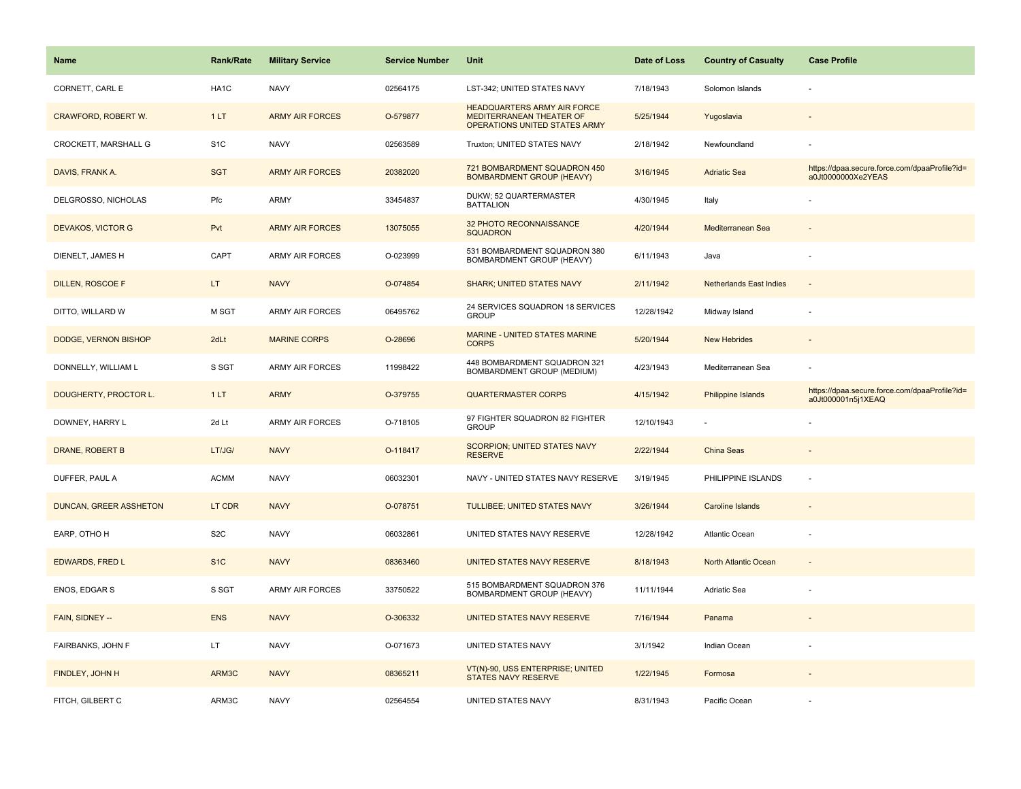| <b>Name</b>                   | Rank/Rate        | <b>Military Service</b> | <b>Service Number</b> | Unit                                                                                            | Date of Loss | <b>Country of Casualty</b>     | <b>Case Profile</b>                                                 |
|-------------------------------|------------------|-------------------------|-----------------------|-------------------------------------------------------------------------------------------------|--------------|--------------------------------|---------------------------------------------------------------------|
| CORNETT, CARL E               | HA1C             | <b>NAVY</b>             | 02564175              | LST-342; UNITED STATES NAVY                                                                     | 7/18/1943    | Solomon Islands                |                                                                     |
| CRAWFORD, ROBERT W.           | 1LT              | <b>ARMY AIR FORCES</b>  | O-579877              | <b>HEADQUARTERS ARMY AIR FORCE</b><br>MEDITERRANEAN THEATER OF<br>OPERATIONS UNITED STATES ARMY | 5/25/1944    | Yugoslavia                     |                                                                     |
| CROCKETT, MARSHALL G          | S <sub>1</sub> C | <b>NAVY</b>             | 02563589              | Truxton; UNITED STATES NAVY                                                                     | 2/18/1942    | Newfoundland                   |                                                                     |
| DAVIS, FRANK A.               | <b>SGT</b>       | <b>ARMY AIR FORCES</b>  | 20382020              | 721 BOMBARDMENT SQUADRON 450<br><b>BOMBARDMENT GROUP (HEAVY)</b>                                | 3/16/1945    | <b>Adriatic Sea</b>            | https://dpaa.secure.force.com/dpaaProfile?id=<br>a0Jt0000000Xe2YEAS |
| DELGROSSO, NICHOLAS           | Pfc              | ARMY                    | 33454837              | DUKW; 52 QUARTERMASTER<br><b>BATTALION</b>                                                      | 4/30/1945    | Italy                          |                                                                     |
| <b>DEVAKOS, VICTOR G</b>      | Pvt              | <b>ARMY AIR FORCES</b>  | 13075055              | 32 PHOTO RECONNAISSANCE<br><b>SQUADRON</b>                                                      | 4/20/1944    | Mediterranean Sea              |                                                                     |
| DIENELT, JAMES H              | CAPT             | ARMY AIR FORCES         | O-023999              | 531 BOMBARDMENT SQUADRON 380<br><b>BOMBARDMENT GROUP (HEAVY)</b>                                | 6/11/1943    | Java                           |                                                                     |
| <b>DILLEN, ROSCOE F</b>       | LT.              | <b>NAVY</b>             | O-074854              | <b>SHARK: UNITED STATES NAVY</b>                                                                | 2/11/1942    | <b>Netherlands East Indies</b> | $\sim$                                                              |
| DITTO, WILLARD W              | M SGT            | <b>ARMY AIR FORCES</b>  | 06495762              | 24 SERVICES SQUADRON 18 SERVICES<br><b>GROUP</b>                                                | 12/28/1942   | Midway Island                  |                                                                     |
| DODGE, VERNON BISHOP          | 2dLt             | <b>MARINE CORPS</b>     | O-28696               | <b>MARINE - UNITED STATES MARINE</b><br><b>CORPS</b>                                            | 5/20/1944    | <b>New Hebrides</b>            |                                                                     |
| DONNELLY, WILLIAM L           | S SGT            | <b>ARMY AIR FORCES</b>  | 11998422              | 448 BOMBARDMENT SQUADRON 321<br>BOMBARDMENT GROUP (MEDIUM)                                      | 4/23/1943    | Mediterranean Sea              |                                                                     |
| DOUGHERTY, PROCTOR L.         | 1LT              | <b>ARMY</b>             | O-379755              | <b>QUARTERMASTER CORPS</b>                                                                      | 4/15/1942    | Philippine Islands             | https://dpaa.secure.force.com/dpaaProfile?id=<br>a0Jt000001n5j1XEAQ |
| DOWNEY, HARRY L               | 2d Lt            | <b>ARMY AIR FORCES</b>  | O-718105              | 97 FIGHTER SQUADRON 82 FIGHTER<br><b>GROUP</b>                                                  | 12/10/1943   | $\sim$                         |                                                                     |
| DRANE, ROBERT B               | LT/JG/           | <b>NAVY</b>             | O-118417              | SCORPION; UNITED STATES NAVY<br><b>RESERVE</b>                                                  | 2/22/1944    | <b>China Seas</b>              |                                                                     |
| DUFFER, PAUL A                | <b>ACMM</b>      | <b>NAVY</b>             | 06032301              | NAVY - UNITED STATES NAVY RESERVE                                                               | 3/19/1945    | PHILIPPINE ISLANDS             | $\overline{\phantom{a}}$                                            |
| <b>DUNCAN, GREER ASSHETON</b> | LT CDR           | <b>NAVY</b>             | O-078751              | <b>TULLIBEE; UNITED STATES NAVY</b>                                                             | 3/26/1944    | <b>Caroline Islands</b>        |                                                                     |
| EARP, OTHO H                  | S <sub>2</sub> C | <b>NAVY</b>             | 06032861              | UNITED STATES NAVY RESERVE                                                                      | 12/28/1942   | Atlantic Ocean                 |                                                                     |
| <b>EDWARDS, FRED L</b>        | S <sub>1</sub> C | <b>NAVY</b>             | 08363460              | UNITED STATES NAVY RESERVE                                                                      | 8/18/1943    | North Atlantic Ocean           | $\sim$                                                              |
| ENOS, EDGAR S                 | S SGT            | <b>ARMY AIR FORCES</b>  | 33750522              | 515 BOMBARDMENT SQUADRON 376<br>BOMBARDMENT GROUP (HEAVY)                                       | 11/11/1944   | Adriatic Sea                   | ÷,                                                                  |
| FAIN, SIDNEY --               | <b>ENS</b>       | <b>NAVY</b>             | O-306332              | UNITED STATES NAVY RESERVE                                                                      | 7/16/1944    | Panama                         |                                                                     |
| FAIRBANKS, JOHN F             | LT.              | <b>NAVY</b>             | O-071673              | UNITED STATES NAVY                                                                              | 3/1/1942     | Indian Ocean                   |                                                                     |
| FINDLEY, JOHN H               | ARM3C            | <b>NAVY</b>             | 08365211              | VT(N)-90, USS ENTERPRISE; UNITED<br><b>STATES NAVY RESERVE</b>                                  | 1/22/1945    | Formosa                        |                                                                     |
| FITCH, GILBERT C              | ARM3C            | <b>NAVY</b>             | 02564554              | UNITED STATES NAVY                                                                              | 8/31/1943    | Pacific Ocean                  |                                                                     |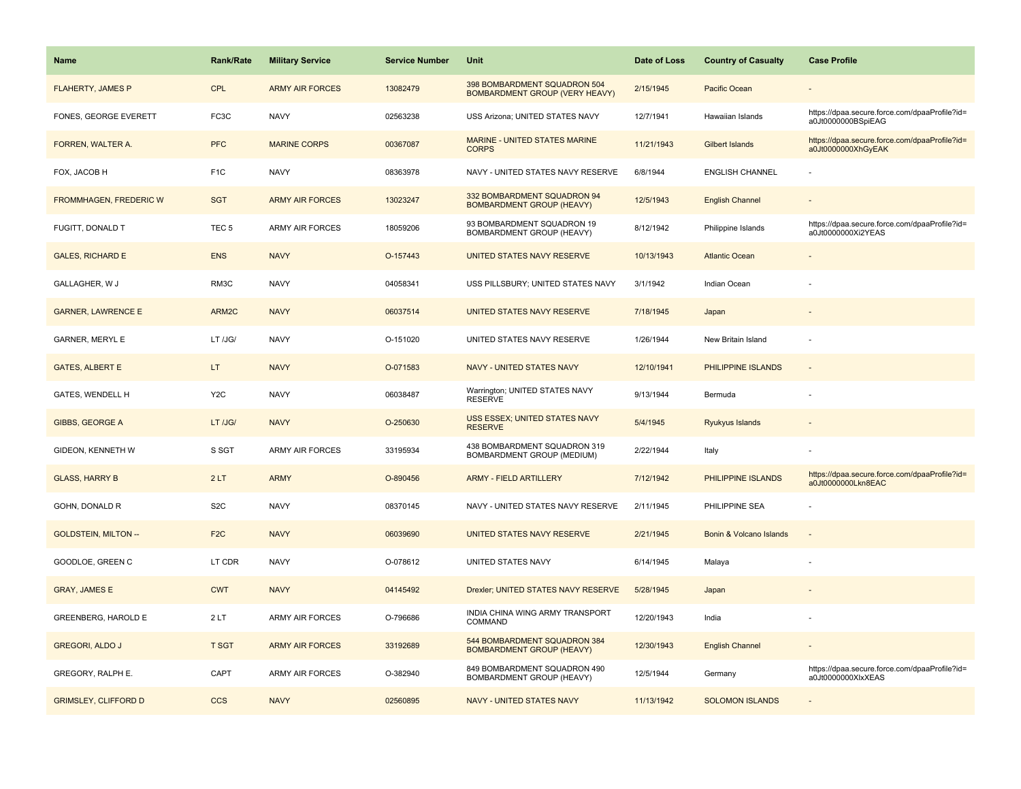| <b>Name</b>                   | <b>Rank/Rate</b> | <b>Military Service</b> | <b>Service Number</b> | Unit                                                                  | Date of Loss | <b>Country of Casualty</b> | <b>Case Profile</b>                                                 |
|-------------------------------|------------------|-------------------------|-----------------------|-----------------------------------------------------------------------|--------------|----------------------------|---------------------------------------------------------------------|
| <b>FLAHERTY, JAMES P</b>      | <b>CPL</b>       | <b>ARMY AIR FORCES</b>  | 13082479              | 398 BOMBARDMENT SQUADRON 504<br><b>BOMBARDMENT GROUP (VERY HEAVY)</b> | 2/15/1945    | Pacific Ocean              |                                                                     |
| FONES, GEORGE EVERETT         | FC3C             | <b>NAVY</b>             | 02563238              | USS Arizona; UNITED STATES NAVY                                       | 12/7/1941    | Hawaiian Islands           | https://dpaa.secure.force.com/dpaaProfile?id=<br>a0Jt0000000BSpiEAG |
| FORREN, WALTER A.             | <b>PFC</b>       | <b>MARINE CORPS</b>     | 00367087              | <b>MARINE - UNITED STATES MARINE</b><br><b>CORPS</b>                  | 11/21/1943   | Gilbert Islands            | https://dpaa.secure.force.com/dpaaProfile?id=<br>a0Jt0000000XhGyEAK |
| FOX, JACOB H                  | F <sub>1</sub> C | <b>NAVY</b>             | 08363978              | NAVY - UNITED STATES NAVY RESERVE                                     | 6/8/1944     | <b>ENGLISH CHANNEL</b>     |                                                                     |
| <b>FROMMHAGEN, FREDERIC W</b> | <b>SGT</b>       | <b>ARMY AIR FORCES</b>  | 13023247              | 332 BOMBARDMENT SQUADRON 94<br><b>BOMBARDMENT GROUP (HEAVY)</b>       | 12/5/1943    | <b>English Channel</b>     |                                                                     |
| FUGITT, DONALD T              | TEC <sub>5</sub> | <b>ARMY AIR FORCES</b>  | 18059206              | 93 BOMBARDMENT SQUADRON 19<br>BOMBARDMENT GROUP (HEAVY)               | 8/12/1942    | Philippine Islands         | https://dpaa.secure.force.com/dpaaProfile?id=<br>a0Jt0000000Xi2YEAS |
| <b>GALES, RICHARD E</b>       | <b>ENS</b>       | <b>NAVY</b>             | O-157443              | UNITED STATES NAVY RESERVE                                            | 10/13/1943   | <b>Atlantic Ocean</b>      |                                                                     |
| GALLAGHER, W J                | RM3C             | <b>NAVY</b>             | 04058341              | USS PILLSBURY; UNITED STATES NAVY                                     | 3/1/1942     | Indian Ocean               |                                                                     |
| <b>GARNER, LAWRENCE E</b>     | ARM2C            | <b>NAVY</b>             | 06037514              | UNITED STATES NAVY RESERVE                                            | 7/18/1945    | Japan                      |                                                                     |
| <b>GARNER, MERYL E</b>        | LT /JG/          | <b>NAVY</b>             | O-151020              | UNITED STATES NAVY RESERVE                                            | 1/26/1944    | New Britain Island         |                                                                     |
| <b>GATES, ALBERT E</b>        | LT.              | <b>NAVY</b>             | O-071583              | <b>NAVY - UNITED STATES NAVY</b>                                      | 12/10/1941   | PHILIPPINE ISLANDS         |                                                                     |
| GATES, WENDELL H              | Y <sub>2</sub> C | <b>NAVY</b>             | 06038487              | Warrington; UNITED STATES NAVY<br><b>RESERVE</b>                      | 9/13/1944    | Bermuda                    |                                                                     |
| <b>GIBBS, GEORGE A</b>        | LT /JG/          | <b>NAVY</b>             | O-250630              | <b>USS ESSEX: UNITED STATES NAVY</b><br><b>RESERVE</b>                | 5/4/1945     | Ryukyus Islands            |                                                                     |
| GIDEON, KENNETH W             | S SGT            | ARMY AIR FORCES         | 33195934              | 438 BOMBARDMENT SQUADRON 319<br>BOMBARDMENT GROUP (MEDIUM)            | 2/22/1944    | Italy                      |                                                                     |
| <b>GLASS, HARRY B</b>         | 2LT              | <b>ARMY</b>             | O-890456              | <b>ARMY - FIELD ARTILLERY</b>                                         | 7/12/1942    | PHILIPPINE ISLANDS         | https://dpaa.secure.force.com/dpaaProfile?id=<br>a0Jt0000000Lkn8EAC |
| GOHN, DONALD R                | S <sub>2</sub> C | <b>NAVY</b>             | 08370145              | NAVY - UNITED STATES NAVY RESERVE                                     | 2/11/1945    | PHILIPPINE SEA             |                                                                     |
| <b>GOLDSTEIN, MILTON --</b>   | F <sub>2C</sub>  | <b>NAVY</b>             | 06039690              | UNITED STATES NAVY RESERVE                                            | 2/21/1945    | Bonin & Volcano Islands    |                                                                     |
| GOODLOE, GREEN C              | LT CDR           | <b>NAVY</b>             | O-078612              | UNITED STATES NAVY                                                    | 6/14/1945    | Malaya                     |                                                                     |
| <b>GRAY, JAMES E</b>          | <b>CWT</b>       | <b>NAVY</b>             | 04145492              | Drexler; UNITED STATES NAVY RESERVE                                   | 5/28/1945    | Japan                      |                                                                     |
| <b>GREENBERG, HAROLD E</b>    | 2LT              | ARMY AIR FORCES         | O-796686              | INDIA CHINA WING ARMY TRANSPORT<br>COMMAND                            | 12/20/1943   | India                      |                                                                     |
| <b>GREGORI, ALDO J</b>        | <b>T SGT</b>     | <b>ARMY AIR FORCES</b>  | 33192689              | 544 BOMBARDMENT SQUADRON 384<br><b>BOMBARDMENT GROUP (HEAVY)</b>      | 12/30/1943   | <b>English Channel</b>     |                                                                     |
| GREGORY, RALPH E.             | CAPT             | <b>ARMY AIR FORCES</b>  | O-382940              | 849 BOMBARDMENT SQUADRON 490<br>BOMBARDMENT GROUP (HEAVY)             | 12/5/1944    | Germany                    | https://dpaa.secure.force.com/dpaaProfile?id=<br>a0Jt0000000XlxXEAS |
| <b>GRIMSLEY, CLIFFORD D</b>   | <b>CCS</b>       | <b>NAVY</b>             | 02560895              | NAVY - UNITED STATES NAVY                                             | 11/13/1942   | <b>SOLOMON ISLANDS</b>     |                                                                     |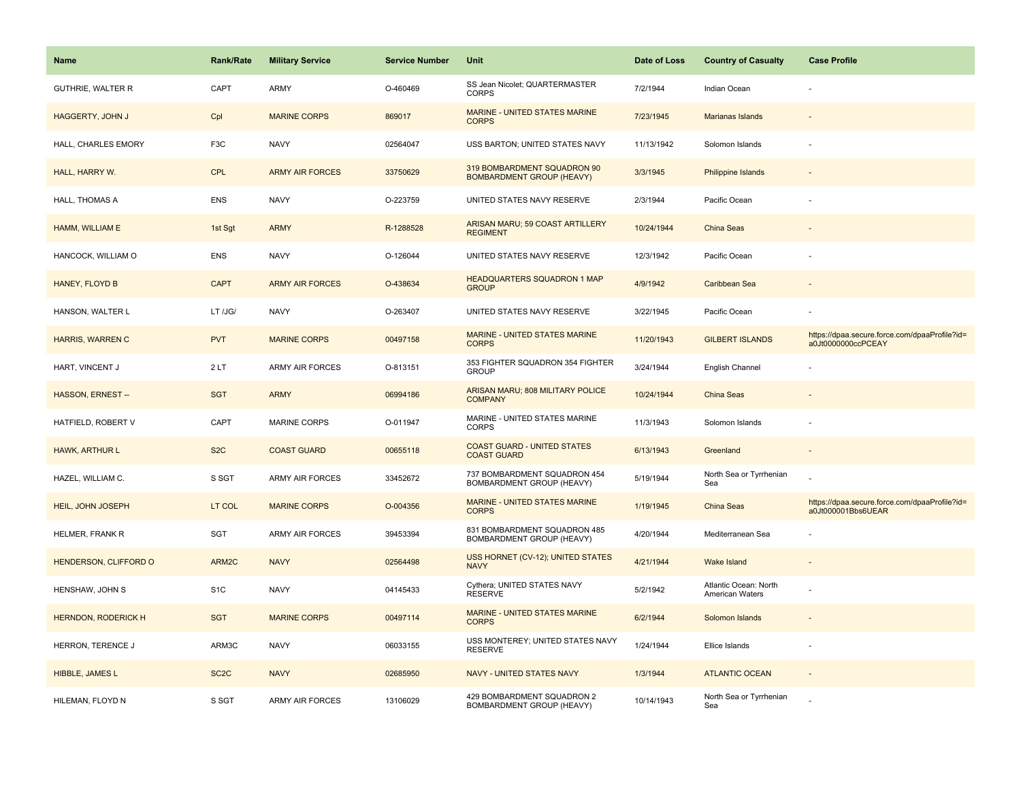| <b>Name</b>                | <b>Rank/Rate</b>  | <b>Military Service</b> | <b>Service Number</b> | Unit                                                            | Date of Loss | <b>Country of Casualty</b>               | <b>Case Profile</b>                                                 |
|----------------------------|-------------------|-------------------------|-----------------------|-----------------------------------------------------------------|--------------|------------------------------------------|---------------------------------------------------------------------|
| <b>GUTHRIE, WALTER R</b>   | CAPT              | ARMY                    | O-460469              | SS Jean Nicolet; QUARTERMASTER<br><b>CORPS</b>                  | 7/2/1944     | Indian Ocean                             |                                                                     |
| HAGGERTY, JOHN J           | Cpl               | <b>MARINE CORPS</b>     | 869017                | <b>MARINE - UNITED STATES MARINE</b><br><b>CORPS</b>            | 7/23/1945    | Marianas Islands                         |                                                                     |
| HALL, CHARLES EMORY        | F <sub>3</sub> C  | <b>NAVY</b>             | 02564047              | USS BARTON; UNITED STATES NAVY                                  | 11/13/1942   | Solomon Islands                          |                                                                     |
| HALL, HARRY W.             | <b>CPL</b>        | <b>ARMY AIR FORCES</b>  | 33750629              | 319 BOMBARDMENT SQUADRON 90<br><b>BOMBARDMENT GROUP (HEAVY)</b> | 3/3/1945     | <b>Philippine Islands</b>                |                                                                     |
| HALL, THOMAS A             | <b>ENS</b>        | <b>NAVY</b>             | O-223759              | UNITED STATES NAVY RESERVE                                      | 2/3/1944     | Pacific Ocean                            |                                                                     |
| HAMM, WILLIAM E            | 1st Sgt           | <b>ARMY</b>             | R-1288528             | ARISAN MARU; 59 COAST ARTILLERY<br><b>REGIMENT</b>              | 10/24/1944   | China Seas                               |                                                                     |
| HANCOCK, WILLIAM O         | <b>ENS</b>        | <b>NAVY</b>             | O-126044              | UNITED STATES NAVY RESERVE                                      | 12/3/1942    | Pacific Ocean                            |                                                                     |
| HANEY, FLOYD B             | <b>CAPT</b>       | <b>ARMY AIR FORCES</b>  | O-438634              | <b>HEADQUARTERS SQUADRON 1 MAP</b><br><b>GROUP</b>              | 4/9/1942     | Caribbean Sea                            |                                                                     |
| HANSON, WALTER L           | LT /JG/           | <b>NAVY</b>             | O-263407              | UNITED STATES NAVY RESERVE                                      | 3/22/1945    | Pacific Ocean                            |                                                                     |
| HARRIS, WARREN C           | <b>PVT</b>        | <b>MARINE CORPS</b>     | 00497158              | MARINE - UNITED STATES MARINE<br><b>CORPS</b>                   | 11/20/1943   | <b>GILBERT ISLANDS</b>                   | https://dpaa.secure.force.com/dpaaProfile?id=<br>a0Jt0000000ccPCEAY |
| HART, VINCENT J            | 2LT               | <b>ARMY AIR FORCES</b>  | O-813151              | 353 FIGHTER SQUADRON 354 FIGHTER<br><b>GROUP</b>                | 3/24/1944    | English Channel                          |                                                                     |
| <b>HASSON, ERNEST--</b>    | <b>SGT</b>        | <b>ARMY</b>             | 06994186              | ARISAN MARU; 808 MILITARY POLICE<br><b>COMPANY</b>              | 10/24/1944   | China Seas                               |                                                                     |
| HATFIELD, ROBERT V         | CAPT              | <b>MARINE CORPS</b>     | O-011947              | MARINE - UNITED STATES MARINE<br><b>CORPS</b>                   | 11/3/1943    | Solomon Islands                          |                                                                     |
| HAWK, ARTHUR L             | S <sub>2</sub> C  | <b>COAST GUARD</b>      | 00655118              | <b>COAST GUARD - UNITED STATES</b><br><b>COAST GUARD</b>        | 6/13/1943    | Greenland                                | $\sim$                                                              |
| HAZEL, WILLIAM C.          | S SGT             | ARMY AIR FORCES         | 33452672              | 737 BOMBARDMENT SQUADRON 454<br>BOMBARDMENT GROUP (HEAVY)       | 5/19/1944    | North Sea or Tyrrhenian<br>Sea           |                                                                     |
| HEIL, JOHN JOSEPH          | LT COL            | <b>MARINE CORPS</b>     | O-004356              | MARINE - UNITED STATES MARINE<br><b>CORPS</b>                   | 1/19/1945    | China Seas                               | https://dpaa.secure.force.com/dpaaProfile?id=<br>a0Jt000001Bbs6UEAR |
| HELMER, FRANK R            | SGT               | <b>ARMY AIR FORCES</b>  | 39453394              | 831 BOMBARDMENT SQUADRON 485<br>BOMBARDMENT GROUP (HEAVY)       | 4/20/1944    | Mediterranean Sea                        |                                                                     |
| HENDERSON, CLIFFORD O      | ARM2C             | <b>NAVY</b>             | 02564498              | USS HORNET (CV-12); UNITED STATES<br><b>NAVY</b>                | 4/21/1944    | Wake Island                              |                                                                     |
| HENSHAW, JOHN S            | S <sub>1</sub> C  | <b>NAVY</b>             | 04145433              | Cythera; UNITED STATES NAVY<br><b>RESERVE</b>                   | 5/2/1942     | Atlantic Ocean: North<br>American Waters |                                                                     |
| <b>HERNDON, RODERICK H</b> | <b>SGT</b>        | <b>MARINE CORPS</b>     | 00497114              | MARINE - UNITED STATES MARINE<br><b>CORPS</b>                   | 6/2/1944     | Solomon Islands                          |                                                                     |
| HERRON, TERENCE J          | ARM3C             | <b>NAVY</b>             | 06033155              | USS MONTEREY; UNITED STATES NAVY<br><b>RESERVE</b>              | 1/24/1944    | Ellice Islands                           | $\sim$                                                              |
| HIBBLE, JAMES L            | SC <sub>2</sub> C | <b>NAVY</b>             | 02685950              | NAVY - UNITED STATES NAVY                                       | 1/3/1944     | <b>ATLANTIC OCEAN</b>                    |                                                                     |
| HILEMAN, FLOYD N           | S SGT             | ARMY AIR FORCES         | 13106029              | 429 BOMBARDMENT SQUADRON 2<br>BOMBARDMENT GROUP (HEAVY)         | 10/14/1943   | North Sea or Tyrrhenian<br>Sea           |                                                                     |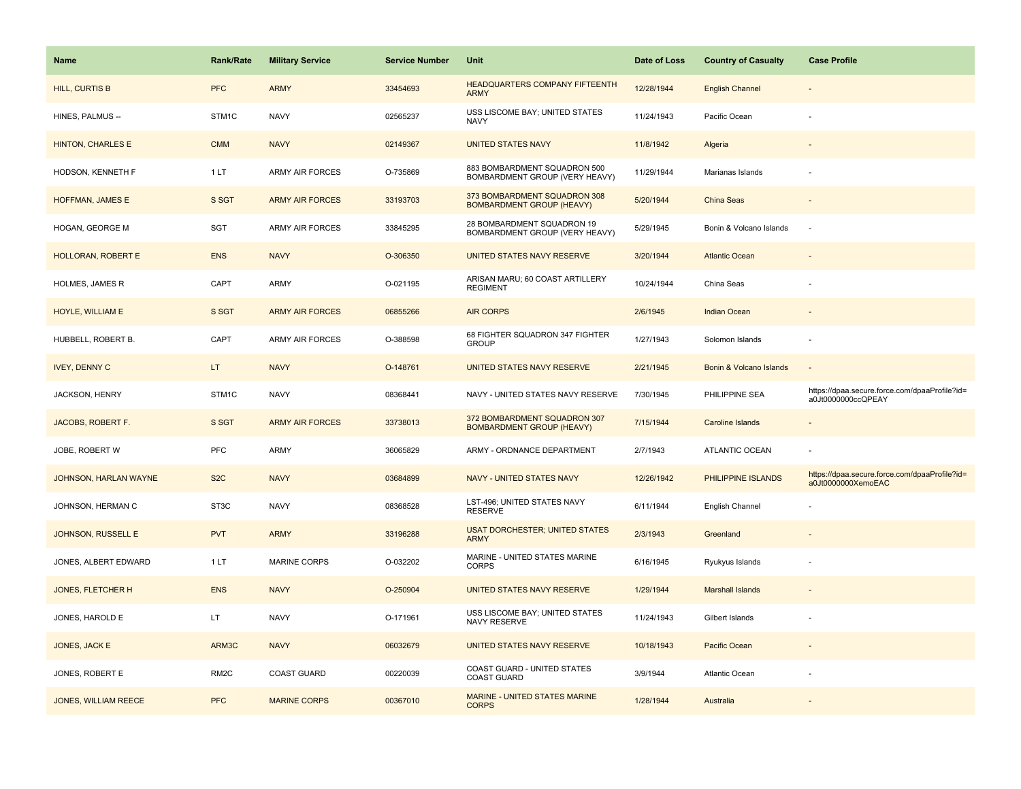| <b>Name</b>                 | <b>Rank/Rate</b>  | <b>Military Service</b> | <b>Service Number</b> | Unit                                                             | Date of Loss | <b>Country of Casualty</b> | <b>Case Profile</b>                                                 |
|-----------------------------|-------------------|-------------------------|-----------------------|------------------------------------------------------------------|--------------|----------------------------|---------------------------------------------------------------------|
| <b>HILL, CURTIS B</b>       | <b>PFC</b>        | <b>ARMY</b>             | 33454693              | <b>HEADQUARTERS COMPANY FIFTEENTH</b><br><b>ARMY</b>             | 12/28/1944   | <b>English Channel</b>     |                                                                     |
| HINES, PALMUS --            | STM1C             | <b>NAVY</b>             | 02565237              | USS LISCOME BAY; UNITED STATES<br><b>NAVY</b>                    | 11/24/1943   | Pacific Ocean              |                                                                     |
| <b>HINTON, CHARLES E</b>    | <b>CMM</b>        | <b>NAVY</b>             | 02149367              | <b>UNITED STATES NAVY</b>                                        | 11/8/1942    | Algeria                    |                                                                     |
| HODSON, KENNETH F           | 1 LT              | ARMY AIR FORCES         | O-735869              | 883 BOMBARDMENT SQUADRON 500<br>BOMBARDMENT GROUP (VERY HEAVY)   | 11/29/1944   | Marianas Islands           |                                                                     |
| HOFFMAN, JAMES E            | S SGT             | <b>ARMY AIR FORCES</b>  | 33193703              | 373 BOMBARDMENT SQUADRON 308<br><b>BOMBARDMENT GROUP (HEAVY)</b> | 5/20/1944    | China Seas                 |                                                                     |
| HOGAN, GEORGE M             | SGT               | <b>ARMY AIR FORCES</b>  | 33845295              | 28 BOMBARDMENT SQUADRON 19<br>BOMBARDMENT GROUP (VERY HEAVY)     | 5/29/1945    | Bonin & Volcano Islands    |                                                                     |
| <b>HOLLORAN, ROBERT E</b>   | <b>ENS</b>        | <b>NAVY</b>             | O-306350              | UNITED STATES NAVY RESERVE                                       | 3/20/1944    | <b>Atlantic Ocean</b>      |                                                                     |
| HOLMES, JAMES R             | CAPT              | ARMY                    | O-021195              | ARISAN MARU; 60 COAST ARTILLERY<br><b>REGIMENT</b>               | 10/24/1944   | China Seas                 |                                                                     |
| HOYLE, WILLIAM E            | S SGT             | <b>ARMY AIR FORCES</b>  | 06855266              | <b>AIR CORPS</b>                                                 | 2/6/1945     | <b>Indian Ocean</b>        |                                                                     |
| HUBBELL, ROBERT B.          | CAPT              | <b>ARMY AIR FORCES</b>  | O-388598              | 68 FIGHTER SQUADRON 347 FIGHTER<br><b>GROUP</b>                  | 1/27/1943    | Solomon Islands            |                                                                     |
| <b>IVEY, DENNY C</b>        | LT.               | <b>NAVY</b>             | O-148761              | UNITED STATES NAVY RESERVE                                       | 2/21/1945    | Bonin & Volcano Islands    |                                                                     |
| JACKSON, HENRY              | STM1C             | <b>NAVY</b>             | 08368441              | NAVY - UNITED STATES NAVY RESERVE                                | 7/30/1945    | PHILIPPINE SEA             | https://dpaa.secure.force.com/dpaaProfile?id=<br>a0Jt0000000ccQPEAY |
| JACOBS, ROBERT F.           | S SGT             | <b>ARMY AIR FORCES</b>  | 33738013              | 372 BOMBARDMENT SQUADRON 307<br><b>BOMBARDMENT GROUP (HEAVY)</b> | 7/15/1944    | Caroline Islands           |                                                                     |
| JOBE, ROBERT W              | <b>PFC</b>        | ARMY                    | 36065829              | ARMY - ORDNANCE DEPARTMENT                                       | 2/7/1943     | ATLANTIC OCEAN             |                                                                     |
| JOHNSON, HARLAN WAYNE       | S <sub>2</sub> C  | <b>NAVY</b>             | 03684899              | <b>NAVY - UNITED STATES NAVY</b>                                 | 12/26/1942   | PHILIPPINE ISLANDS         | https://dpaa.secure.force.com/dpaaProfile?id=<br>a0Jt0000000XemoEAC |
| JOHNSON, HERMAN C           | ST3C              | <b>NAVY</b>             | 08368528              | LST-496; UNITED STATES NAVY<br><b>RESERVE</b>                    | 6/11/1944    | English Channel            |                                                                     |
| <b>JOHNSON, RUSSELL E</b>   | <b>PVT</b>        | <b>ARMY</b>             | 33196288              | <b>USAT DORCHESTER; UNITED STATES</b><br><b>ARMY</b>             | 2/3/1943     | Greenland                  |                                                                     |
| JONES, ALBERT EDWARD        | 1 LT              | MARINE CORPS            | O-032202              | MARINE - UNITED STATES MARINE<br><b>CORPS</b>                    | 6/16/1945    | Ryukyus Islands            |                                                                     |
| <b>JONES, FLETCHER H</b>    | <b>ENS</b>        | <b>NAVY</b>             | O-250904              | UNITED STATES NAVY RESERVE                                       | 1/29/1944    | <b>Marshall Islands</b>    |                                                                     |
| JONES, HAROLD E             | LT.               | <b>NAVY</b>             | O-171961              | USS LISCOME BAY; UNITED STATES<br>NAVY RESERVE                   | 11/24/1943   | Gilbert Islands            |                                                                     |
| JONES, JACK E               | ARM3C             | <b>NAVY</b>             | 06032679              | UNITED STATES NAVY RESERVE                                       | 10/18/1943   | Pacific Ocean              |                                                                     |
| JONES, ROBERT E             | RM <sub>2</sub> C | <b>COAST GUARD</b>      | 00220039              | COAST GUARD - UNITED STATES<br><b>COAST GUARD</b>                | 3/9/1944     | <b>Atlantic Ocean</b>      |                                                                     |
| <b>JONES, WILLIAM REECE</b> | <b>PFC</b>        | <b>MARINE CORPS</b>     | 00367010              | <b>MARINE - UNITED STATES MARINE</b><br><b>CORPS</b>             | 1/28/1944    | Australia                  |                                                                     |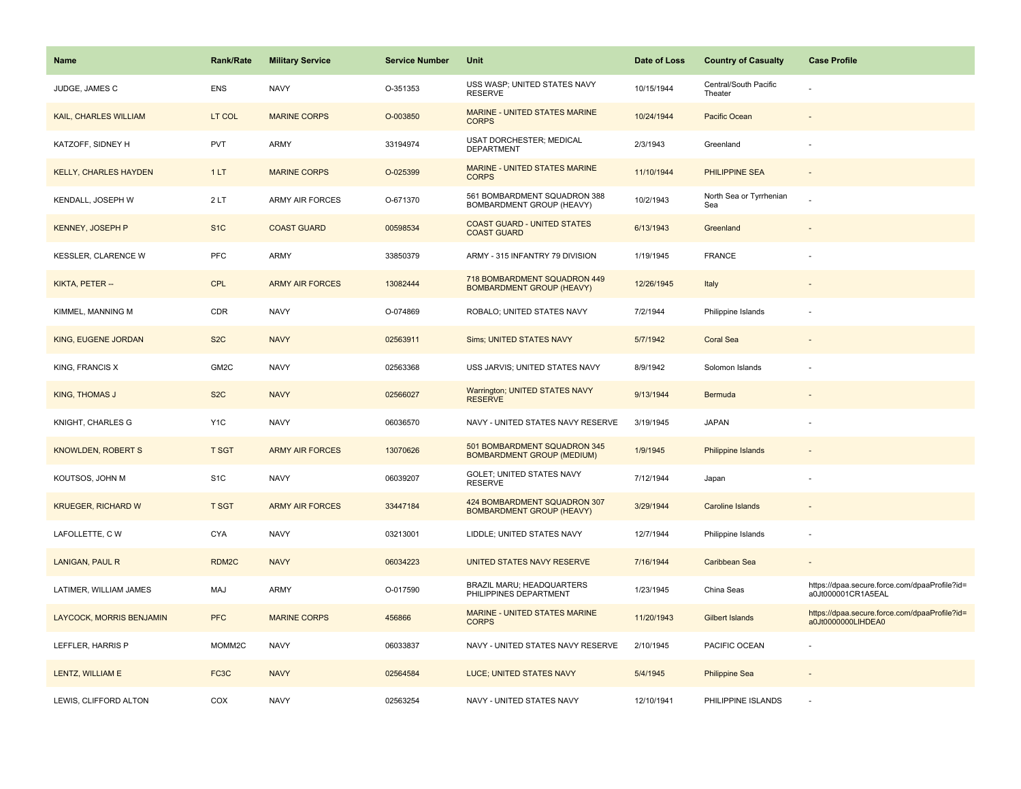| Name                         | <b>Rank/Rate</b>  | <b>Military Service</b> | <b>Service Number</b> | Unit                                                              | Date of Loss | <b>Country of Casualty</b>       | <b>Case Profile</b>                                                 |
|------------------------------|-------------------|-------------------------|-----------------------|-------------------------------------------------------------------|--------------|----------------------------------|---------------------------------------------------------------------|
| JUDGE, JAMES C               | <b>ENS</b>        | <b>NAVY</b>             | O-351353              | USS WASP; UNITED STATES NAVY<br><b>RESERVE</b>                    | 10/15/1944   | Central/South Pacific<br>Theater |                                                                     |
| KAIL, CHARLES WILLIAM        | LT COL            | <b>MARINE CORPS</b>     | O-003850              | MARINE - UNITED STATES MARINE<br><b>CORPS</b>                     | 10/24/1944   | Pacific Ocean                    |                                                                     |
| KATZOFF, SIDNEY H            | <b>PVT</b>        | ARMY                    | 33194974              | <b>USAT DORCHESTER; MEDICAL</b><br><b>DEPARTMENT</b>              | 2/3/1943     | Greenland                        |                                                                     |
| <b>KELLY, CHARLES HAYDEN</b> | 1LT               | <b>MARINE CORPS</b>     | O-025399              | MARINE - UNITED STATES MARINE<br><b>CORPS</b>                     | 11/10/1944   | PHILIPPINE SEA                   | $\overline{\phantom{a}}$                                            |
| KENDALL, JOSEPH W            | 2LT               | <b>ARMY AIR FORCES</b>  | O-671370              | 561 BOMBARDMENT SQUADRON 388<br>BOMBARDMENT GROUP (HEAVY)         | 10/2/1943    | North Sea or Tyrrhenian<br>Sea   |                                                                     |
| <b>KENNEY, JOSEPH P</b>      | S <sub>1</sub> C  | <b>COAST GUARD</b>      | 00598534              | <b>COAST GUARD - UNITED STATES</b><br><b>COAST GUARD</b>          | 6/13/1943    | Greenland                        |                                                                     |
| KESSLER, CLARENCE W          | PFC               | ARMY                    | 33850379              | ARMY - 315 INFANTRY 79 DIVISION                                   | 1/19/1945    | <b>FRANCE</b>                    |                                                                     |
| KIKTA, PETER --              | <b>CPL</b>        | <b>ARMY AIR FORCES</b>  | 13082444              | 718 BOMBARDMENT SQUADRON 449<br><b>BOMBARDMENT GROUP (HEAVY)</b>  | 12/26/1945   | Italy                            |                                                                     |
| KIMMEL, MANNING M            | CDR               | <b>NAVY</b>             | O-074869              | ROBALO; UNITED STATES NAVY                                        | 7/2/1944     | Philippine Islands               |                                                                     |
| KING, EUGENE JORDAN          | S <sub>2</sub> C  | <b>NAVY</b>             | 02563911              | Sims; UNITED STATES NAVY                                          | 5/7/1942     | <b>Coral Sea</b>                 |                                                                     |
| KING, FRANCIS X              | GM <sub>2</sub> C | <b>NAVY</b>             | 02563368              | USS JARVIS; UNITED STATES NAVY                                    | 8/9/1942     | Solomon Islands                  |                                                                     |
| <b>KING, THOMAS J</b>        | S <sub>2</sub> C  | <b>NAVY</b>             | 02566027              | Warrington; UNITED STATES NAVY<br><b>RESERVE</b>                  | 9/13/1944    | Bermuda                          | $\sim$                                                              |
| KNIGHT, CHARLES G            | Y <sub>1</sub> C  | <b>NAVY</b>             | 06036570              | NAVY - UNITED STATES NAVY RESERVE                                 | 3/19/1945    | <b>JAPAN</b>                     |                                                                     |
| <b>KNOWLDEN, ROBERT S</b>    | <b>T SGT</b>      | <b>ARMY AIR FORCES</b>  | 13070626              | 501 BOMBARDMENT SQUADRON 345<br><b>BOMBARDMENT GROUP (MEDIUM)</b> | 1/9/1945     | Philippine Islands               |                                                                     |
| KOUTSOS, JOHN M              | S <sub>1</sub> C  | <b>NAVY</b>             | 06039207              | <b>GOLET; UNITED STATES NAVY</b><br><b>RESERVE</b>                | 7/12/1944    | Japan                            |                                                                     |
| <b>KRUEGER, RICHARD W</b>    | <b>T SGT</b>      | <b>ARMY AIR FORCES</b>  | 33447184              | 424 BOMBARDMENT SQUADRON 307<br><b>BOMBARDMENT GROUP (HEAVY)</b>  | 3/29/1944    | Caroline Islands                 |                                                                     |
| LAFOLLETTE, CW               | <b>CYA</b>        | <b>NAVY</b>             | 03213001              | LIDDLE; UNITED STATES NAVY                                        | 12/7/1944    | Philippine Islands               |                                                                     |
| LANIGAN, PAUL R              | RDM2C             | <b>NAVY</b>             | 06034223              | UNITED STATES NAVY RESERVE                                        | 7/16/1944    | Caribbean Sea                    |                                                                     |
| LATIMER, WILLIAM JAMES       | MAJ               | ARMY                    | O-017590              | <b>BRAZIL MARU; HEADQUARTERS</b><br>PHILIPPINES DEPARTMENT        | 1/23/1945    | China Seas                       | https://dpaa.secure.force.com/dpaaProfile?id=<br>a0Jt000001CR1A5EAL |
| LAYCOCK, MORRIS BENJAMIN     | <b>PFC</b>        | <b>MARINE CORPS</b>     | 456866                | MARINE - UNITED STATES MARINE<br><b>CORPS</b>                     | 11/20/1943   | Gilbert Islands                  | https://dpaa.secure.force.com/dpaaProfile?id=<br>a0Jt0000000LIHDEA0 |
| LEFFLER, HARRIS P            | MOMM2C            | <b>NAVY</b>             | 06033837              | NAVY - UNITED STATES NAVY RESERVE                                 | 2/10/1945    | PACIFIC OCEAN                    |                                                                     |
| LENTZ, WILLIAM E             | FC3C              | <b>NAVY</b>             | 02564584              | LUCE; UNITED STATES NAVY                                          | 5/4/1945     | <b>Philippine Sea</b>            |                                                                     |
| LEWIS, CLIFFORD ALTON        | COX               | <b>NAVY</b>             | 02563254              | NAVY - UNITED STATES NAVY                                         | 12/10/1941   | PHILIPPINE ISLANDS               |                                                                     |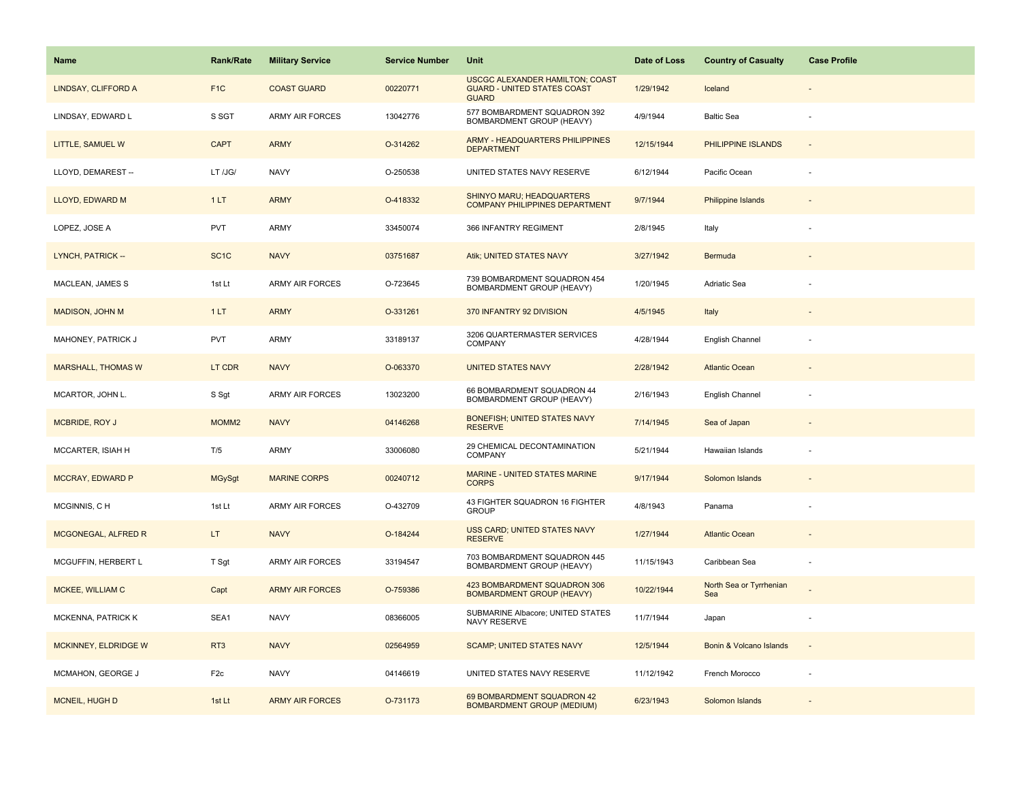| <b>Name</b>               | Rank/Rate         | <b>Military Service</b> | <b>Service Number</b> | Unit                                                                                         | Date of Loss | <b>Country of Casualty</b>     | <b>Case Profile</b>      |
|---------------------------|-------------------|-------------------------|-----------------------|----------------------------------------------------------------------------------------------|--------------|--------------------------------|--------------------------|
| LINDSAY, CLIFFORD A       | F <sub>1</sub> C  | <b>COAST GUARD</b>      | 00220771              | <b>USCGC ALEXANDER HAMILTON; COAST</b><br><b>GUARD - UNITED STATES COAST</b><br><b>GUARD</b> | 1/29/1942    | Iceland                        |                          |
| LINDSAY, EDWARD L         | S SGT             | <b>ARMY AIR FORCES</b>  | 13042776              | 577 BOMBARDMENT SQUADRON 392<br>BOMBARDMENT GROUP (HEAVY)                                    | 4/9/1944     | <b>Baltic Sea</b>              | $\overline{\phantom{a}}$ |
| LITTLE, SAMUEL W          | <b>CAPT</b>       | <b>ARMY</b>             | O-314262              | <b>ARMY - HEADQUARTERS PHILIPPINES</b><br><b>DEPARTMENT</b>                                  | 12/15/1944   | PHILIPPINE ISLANDS             |                          |
| LLOYD, DEMAREST --        | LT /JG/           | <b>NAVY</b>             | O-250538              | UNITED STATES NAVY RESERVE                                                                   | 6/12/1944    | Pacific Ocean                  |                          |
| LLOYD, EDWARD M           | 1LT               | <b>ARMY</b>             | O-418332              | <b>SHINYO MARU; HEADQUARTERS</b><br><b>COMPANY PHILIPPINES DEPARTMENT</b>                    | 9/7/1944     | <b>Philippine Islands</b>      |                          |
| LOPEZ, JOSE A             | <b>PVT</b>        | ARMY                    | 33450074              | 366 INFANTRY REGIMENT                                                                        | 2/8/1945     | Italy                          |                          |
| LYNCH, PATRICK --         | SC <sub>1</sub> C | <b>NAVY</b>             | 03751687              | Atik; UNITED STATES NAVY                                                                     | 3/27/1942    | Bermuda                        | $\overline{\phantom{a}}$ |
| MACLEAN, JAMES S          | 1st Lt            | ARMY AIR FORCES         | O-723645              | 739 BOMBARDMENT SQUADRON 454<br>BOMBARDMENT GROUP (HEAVY)                                    | 1/20/1945    | Adriatic Sea                   |                          |
| <b>MADISON, JOHN M</b>    | 1LT               | <b>ARMY</b>             | O-331261              | 370 INFANTRY 92 DIVISION                                                                     | 4/5/1945     | Italy                          |                          |
| MAHONEY, PATRICK J        | PVT               | <b>ARMY</b>             | 33189137              | 3206 QUARTERMASTER SERVICES<br><b>COMPANY</b>                                                | 4/28/1944    | English Channel                |                          |
| <b>MARSHALL, THOMAS W</b> | LT CDR            | <b>NAVY</b>             | O-063370              | <b>UNITED STATES NAVY</b>                                                                    | 2/28/1942    | <b>Atlantic Ocean</b>          |                          |
| MCARTOR, JOHN L.          | S Sgt             | <b>ARMY AIR FORCES</b>  | 13023200              | 66 BOMBARDMENT SQUADRON 44<br>BOMBARDMENT GROUP (HEAVY)                                      | 2/16/1943    | English Channel                |                          |
| MCBRIDE, ROY J            | MOMM <sub>2</sub> | <b>NAVY</b>             | 04146268              | BONEFISH; UNITED STATES NAVY<br><b>RESERVE</b>                                               | 7/14/1945    | Sea of Japan                   |                          |
| MCCARTER, ISIAH H         | T/5               | ARMY                    | 33006080              | 29 CHEMICAL DECONTAMINATION<br>COMPANY                                                       | 5/21/1944    | Hawaiian Islands               |                          |
| MCCRAY, EDWARD P          | <b>MGySgt</b>     | <b>MARINE CORPS</b>     | 00240712              | MARINE - UNITED STATES MARINE<br><b>CORPS</b>                                                | 9/17/1944    | Solomon Islands                |                          |
| MCGINNIS, CH              | 1st Lt            | <b>ARMY AIR FORCES</b>  | O-432709              | 43 FIGHTER SQUADRON 16 FIGHTER<br><b>GROUP</b>                                               | 4/8/1943     | Panama                         |                          |
| MCGONEGAL, ALFRED R       | LT.               | <b>NAVY</b>             | O-184244              | <b>USS CARD; UNITED STATES NAVY</b><br><b>RESERVE</b>                                        | 1/27/1944    | <b>Atlantic Ocean</b>          |                          |
| MCGUFFIN, HERBERT L       | T Sgt             | <b>ARMY AIR FORCES</b>  | 33194547              | 703 BOMBARDMENT SQUADRON 445<br>BOMBARDMENT GROUP (HEAVY)                                    | 11/15/1943   | Caribbean Sea                  | ÷,                       |
| MCKEE, WILLIAM C          | Capt              | <b>ARMY AIR FORCES</b>  | O-759386              | 423 BOMBARDMENT SQUADRON 306<br><b>BOMBARDMENT GROUP (HEAVY)</b>                             | 10/22/1944   | North Sea or Tyrrhenian<br>Sea |                          |
| <b>MCKENNA, PATRICK K</b> | SEA1              | <b>NAVY</b>             | 08366005              | SUBMARINE Albacore; UNITED STATES<br>NAVY RESERVE                                            | 11/7/1944    | Japan                          |                          |
| MCKINNEY, ELDRIDGE W      | RT <sub>3</sub>   | <b>NAVY</b>             | 02564959              | <b>SCAMP; UNITED STATES NAVY</b>                                                             | 12/5/1944    | Bonin & Volcano Islands        | $\sim$                   |
| MCMAHON, GEORGE J         | F <sub>2c</sub>   | <b>NAVY</b>             | 04146619              | UNITED STATES NAVY RESERVE                                                                   | 11/12/1942   | French Morocco                 | ÷                        |
| <b>MCNEIL, HUGH D</b>     | 1st Lt            | <b>ARMY AIR FORCES</b>  | O-731173              | 69 BOMBARDMENT SQUADRON 42<br><b>BOMBARDMENT GROUP (MEDIUM)</b>                              | 6/23/1943    | Solomon Islands                |                          |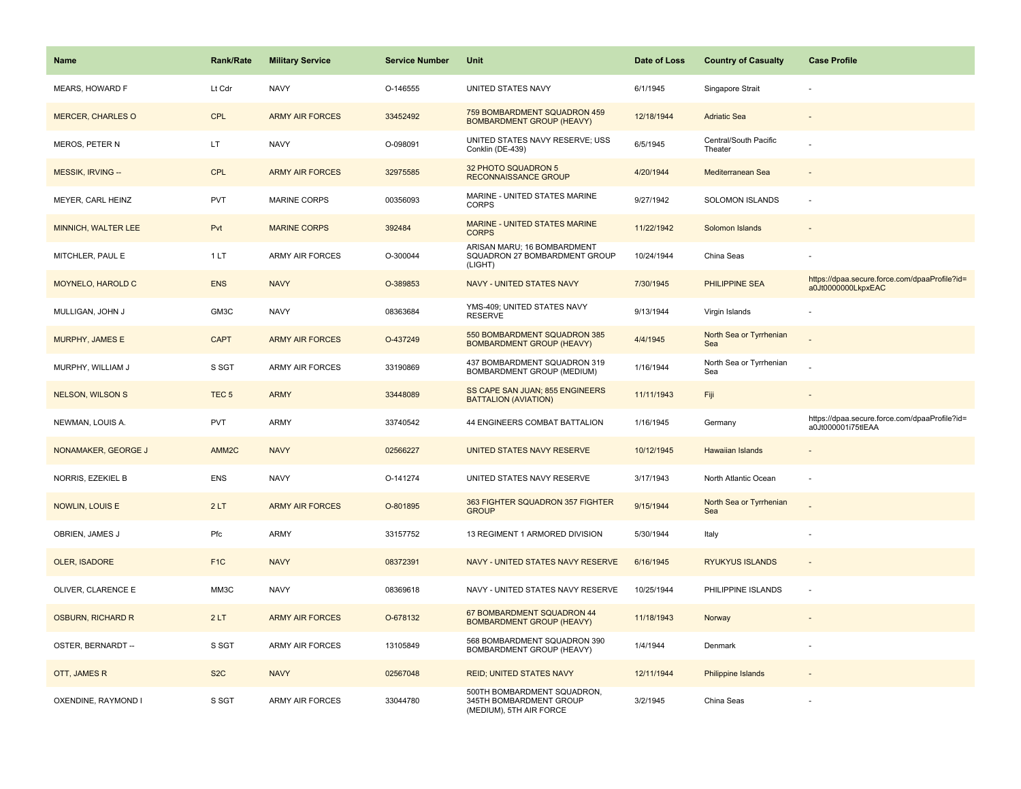| <b>Name</b>              | <b>Rank/Rate</b>  | <b>Military Service</b> | <b>Service Number</b> | Unit                                                                              | Date of Loss | <b>Country of Casualty</b>       | <b>Case Profile</b>                                                 |
|--------------------------|-------------------|-------------------------|-----------------------|-----------------------------------------------------------------------------------|--------------|----------------------------------|---------------------------------------------------------------------|
| MEARS, HOWARD F          | Lt Cdr            | <b>NAVY</b>             | O-146555              | UNITED STATES NAVY                                                                | 6/1/1945     | Singapore Strait                 |                                                                     |
| <b>MERCER, CHARLES O</b> | <b>CPL</b>        | <b>ARMY AIR FORCES</b>  | 33452492              | 759 BOMBARDMENT SQUADRON 459<br><b>BOMBARDMENT GROUP (HEAVY)</b>                  | 12/18/1944   | <b>Adriatic Sea</b>              |                                                                     |
| MEROS, PETER N           | LT                | <b>NAVY</b>             | O-098091              | UNITED STATES NAVY RESERVE; USS<br>Conklin (DE-439)                               | 6/5/1945     | Central/South Pacific<br>Theater |                                                                     |
| <b>MESSIK, IRVING --</b> | <b>CPL</b>        | <b>ARMY AIR FORCES</b>  | 32975585              | 32 PHOTO SQUADRON 5<br><b>RECONNAISSANCE GROUP</b>                                | 4/20/1944    | Mediterranean Sea                |                                                                     |
| MEYER, CARL HEINZ        | <b>PVT</b>        | <b>MARINE CORPS</b>     | 00356093              | MARINE - UNITED STATES MARINE<br><b>CORPS</b>                                     | 9/27/1942    | SOLOMON ISLANDS                  |                                                                     |
| MINNICH, WALTER LEE      | Pvt               | <b>MARINE CORPS</b>     | 392484                | MARINE - UNITED STATES MARINE<br><b>CORPS</b>                                     | 11/22/1942   | Solomon Islands                  |                                                                     |
| MITCHLER, PAUL E         | 1LT               | ARMY AIR FORCES         | O-300044              | ARISAN MARU; 16 BOMBARDMENT<br>SQUADRON 27 BOMBARDMENT GROUP<br>(LIGHT)           | 10/24/1944   | China Seas                       |                                                                     |
| MOYNELO, HAROLD C        | <b>ENS</b>        | <b>NAVY</b>             | O-389853              | NAVY - UNITED STATES NAVY                                                         | 7/30/1945    | PHILIPPINE SEA                   | https://dpaa.secure.force.com/dpaaProfile?id=<br>a0Jt0000000LkpxEAC |
| MULLIGAN, JOHN J         | GM3C              | <b>NAVY</b>             | 08363684              | YMS-409; UNITED STATES NAVY<br><b>RESERVE</b>                                     | 9/13/1944    | Virgin Islands                   |                                                                     |
| MURPHY, JAMES E          | <b>CAPT</b>       | <b>ARMY AIR FORCES</b>  | O-437249              | 550 BOMBARDMENT SQUADRON 385<br><b>BOMBARDMENT GROUP (HEAVY)</b>                  | 4/4/1945     | North Sea or Tyrrhenian<br>Sea   |                                                                     |
| MURPHY, WILLIAM J        | S SGT             | ARMY AIR FORCES         | 33190869              | 437 BOMBARDMENT SQUADRON 319<br>BOMBARDMENT GROUP (MEDIUM)                        | 1/16/1944    | North Sea or Tyrrhenian<br>Sea   |                                                                     |
| <b>NELSON, WILSON S</b>  | TEC <sub>5</sub>  | <b>ARMY</b>             | 33448089              | SS CAPE SAN JUAN; 855 ENGINEERS<br><b>BATTALION (AVIATION)</b>                    | 11/11/1943   | Fiji                             |                                                                     |
| NEWMAN, LOUIS A.         | <b>PVT</b>        | <b>ARMY</b>             | 33740542              | 44 ENGINEERS COMBAT BATTALION                                                     | 1/16/1945    | Germany                          | https://dpaa.secure.force.com/dpaaProfile?id=<br>a0Jt000001i75tlEAA |
| NONAMAKER, GEORGE J      | AMM <sub>2C</sub> | <b>NAVY</b>             | 02566227              | UNITED STATES NAVY RESERVE                                                        | 10/12/1945   | <b>Hawaiian Islands</b>          |                                                                     |
| NORRIS, EZEKIEL B        | ENS               | <b>NAVY</b>             | O-141274              | UNITED STATES NAVY RESERVE                                                        | 3/17/1943    | North Atlantic Ocean             |                                                                     |
| <b>NOWLIN, LOUIS E</b>   | 2LT               | <b>ARMY AIR FORCES</b>  | O-801895              | 363 FIGHTER SQUADRON 357 FIGHTER<br><b>GROUP</b>                                  | 9/15/1944    | North Sea or Tyrrhenian<br>Sea   |                                                                     |
| OBRIEN, JAMES J          | Pfc               | <b>ARMY</b>             | 33157752              | 13 REGIMENT 1 ARMORED DIVISION                                                    | 5/30/1944    | Italy                            |                                                                     |
| <b>OLER, ISADORE</b>     | F <sub>1C</sub>   | <b>NAVY</b>             | 08372391              | NAVY - UNITED STATES NAVY RESERVE                                                 | 6/16/1945    | <b>RYUKYUS ISLANDS</b>           |                                                                     |
| OLIVER, CLARENCE E       | MM3C              | <b>NAVY</b>             | 08369618              | NAVY - UNITED STATES NAVY RESERVE                                                 | 10/25/1944   | PHILIPPINE ISLANDS               | $\sim$                                                              |
| <b>OSBURN, RICHARD R</b> | 2LT               | <b>ARMY AIR FORCES</b>  | O-678132              | 67 BOMBARDMENT SQUADRON 44<br><b>BOMBARDMENT GROUP (HEAVY)</b>                    | 11/18/1943   | Norway                           |                                                                     |
| OSTER, BERNARDT --       | S SGT             | <b>ARMY AIR FORCES</b>  | 13105849              | 568 BOMBARDMENT SQUADRON 390<br>BOMBARDMENT GROUP (HEAVY)                         | 1/4/1944     | Denmark                          |                                                                     |
| OTT, JAMES R             | S <sub>2</sub> C  | <b>NAVY</b>             | 02567048              | <b>REID; UNITED STATES NAVY</b>                                                   | 12/11/1944   | Philippine Islands               |                                                                     |
| OXENDINE, RAYMOND I      | S SGT             | <b>ARMY AIR FORCES</b>  | 33044780              | 500TH BOMBARDMENT SQUADRON,<br>345TH BOMBARDMENT GROUP<br>(MEDIUM), 5TH AIR FORCE | 3/2/1945     | China Seas                       |                                                                     |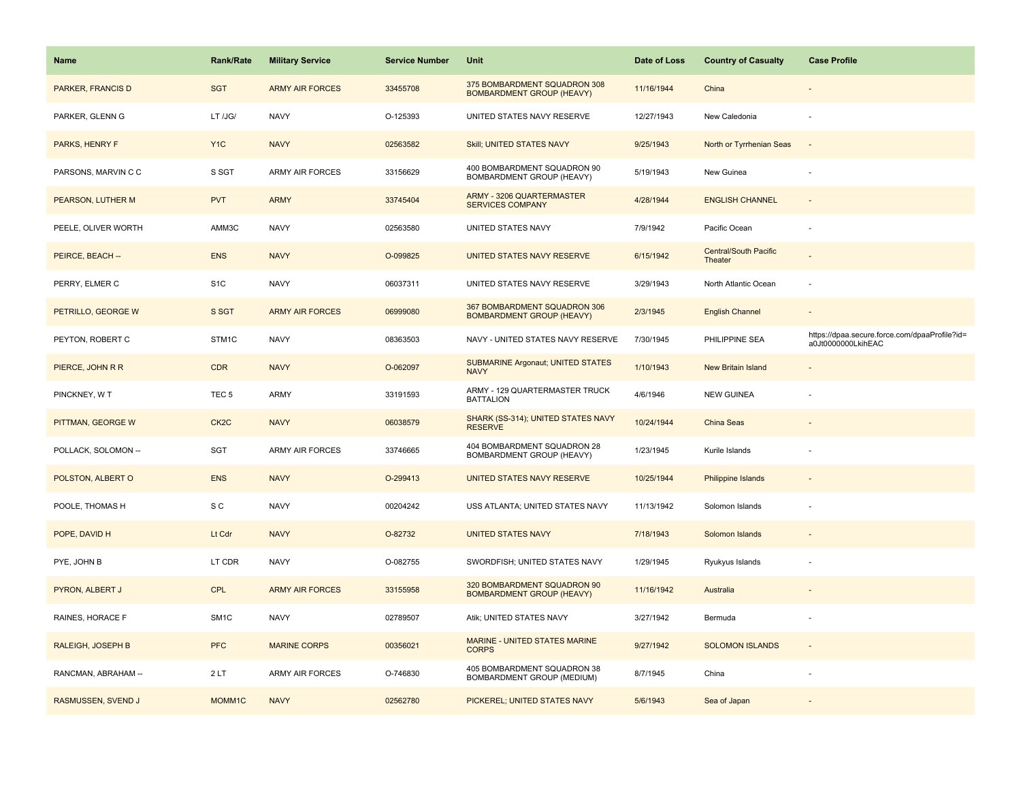| <b>Name</b>              | <b>Rank/Rate</b>  | <b>Military Service</b> | <b>Service Number</b> | Unit                                                             | Date of Loss | <b>Country of Casualty</b>              | <b>Case Profile</b>                                                 |
|--------------------------|-------------------|-------------------------|-----------------------|------------------------------------------------------------------|--------------|-----------------------------------------|---------------------------------------------------------------------|
| <b>PARKER, FRANCIS D</b> | <b>SGT</b>        | <b>ARMY AIR FORCES</b>  | 33455708              | 375 BOMBARDMENT SQUADRON 308<br><b>BOMBARDMENT GROUP (HEAVY)</b> | 11/16/1944   | China                                   |                                                                     |
| PARKER, GLENN G          | LT /JG/           | <b>NAVY</b>             | O-125393              | UNITED STATES NAVY RESERVE                                       | 12/27/1943   | New Caledonia                           |                                                                     |
| PARKS, HENRY F           | Y <sub>1</sub> C  | <b>NAVY</b>             | 02563582              | Skill; UNITED STATES NAVY                                        | 9/25/1943    | North or Tyrrhenian Seas                |                                                                     |
| PARSONS, MARVIN C C      | S SGT             | <b>ARMY AIR FORCES</b>  | 33156629              | 400 BOMBARDMENT SQUADRON 90<br>BOMBARDMENT GROUP (HEAVY)         | 5/19/1943    | New Guinea                              |                                                                     |
| PEARSON, LUTHER M        | <b>PVT</b>        | <b>ARMY</b>             | 33745404              | ARMY - 3206 QUARTERMASTER<br><b>SERVICES COMPANY</b>             | 4/28/1944    | <b>ENGLISH CHANNEL</b>                  |                                                                     |
| PEELE, OLIVER WORTH      | AMM3C             | <b>NAVY</b>             | 02563580              | UNITED STATES NAVY                                               | 7/9/1942     | Pacific Ocean                           |                                                                     |
| PEIRCE, BEACH --         | <b>ENS</b>        | <b>NAVY</b>             | O-099825              | UNITED STATES NAVY RESERVE                                       | 6/15/1942    | <b>Central/South Pacific</b><br>Theater |                                                                     |
| PERRY, ELMER C           | S <sub>1</sub> C  | <b>NAVY</b>             | 06037311              | UNITED STATES NAVY RESERVE                                       | 3/29/1943    | North Atlantic Ocean                    | ÷.                                                                  |
| PETRILLO, GEORGE W       | S SGT             | <b>ARMY AIR FORCES</b>  | 06999080              | 367 BOMBARDMENT SQUADRON 306<br><b>BOMBARDMENT GROUP (HEAVY)</b> | 2/3/1945     | <b>English Channel</b>                  |                                                                     |
| PEYTON, ROBERT C         | STM1C             | <b>NAVY</b>             | 08363503              | NAVY - UNITED STATES NAVY RESERVE                                | 7/30/1945    | PHILIPPINE SEA                          | https://dpaa.secure.force.com/dpaaProfile?id=<br>a0Jt0000000LkihEAC |
| PIERCE, JOHN R R         | <b>CDR</b>        | <b>NAVY</b>             | O-062097              | <b>SUBMARINE Argonaut; UNITED STATES</b><br><b>NAVY</b>          | 1/10/1943    | <b>New Britain Island</b>               |                                                                     |
| PINCKNEY, WT             | TEC <sub>5</sub>  | <b>ARMY</b>             | 33191593              | ARMY - 129 QUARTERMASTER TRUCK<br><b>BATTALION</b>               | 4/6/1946     | <b>NEW GUINEA</b>                       |                                                                     |
| PITTMAN, GEORGE W        | CK <sub>2</sub> C | <b>NAVY</b>             | 06038579              | SHARK (SS-314); UNITED STATES NAVY<br><b>RESERVE</b>             | 10/24/1944   | China Seas                              |                                                                     |
| POLLACK, SOLOMON --      | <b>SGT</b>        | ARMY AIR FORCES         | 33746665              | 404 BOMBARDMENT SQUADRON 28<br>BOMBARDMENT GROUP (HEAVY)         | 1/23/1945    | Kurile Islands                          |                                                                     |
| POLSTON, ALBERT O        | <b>ENS</b>        | <b>NAVY</b>             | O-299413              | UNITED STATES NAVY RESERVE                                       | 10/25/1944   | <b>Philippine Islands</b>               |                                                                     |
| POOLE, THOMAS H          | S C               | <b>NAVY</b>             | 00204242              | USS ATLANTA; UNITED STATES NAVY                                  | 11/13/1942   | Solomon Islands                         |                                                                     |
| POPE, DAVID H            | Lt Cdr            | <b>NAVY</b>             | O-82732               | <b>UNITED STATES NAVY</b>                                        | 7/18/1943    | Solomon Islands                         |                                                                     |
| PYE, JOHN B              | LT CDR            | <b>NAVY</b>             | O-082755              | SWORDFISH; UNITED STATES NAVY                                    | 1/29/1945    | Ryukyus Islands                         |                                                                     |
| PYRON, ALBERT J          | <b>CPL</b>        | <b>ARMY AIR FORCES</b>  | 33155958              | 320 BOMBARDMENT SQUADRON 90<br><b>BOMBARDMENT GROUP (HEAVY)</b>  | 11/16/1942   | Australia                               |                                                                     |
| RAINES, HORACE F         | SM <sub>1</sub> C | <b>NAVY</b>             | 02789507              | Atik; UNITED STATES NAVY                                         | 3/27/1942    | Bermuda                                 |                                                                     |
| RALEIGH, JOSEPH B        | <b>PFC</b>        | <b>MARINE CORPS</b>     | 00356021              | MARINE - UNITED STATES MARINE<br><b>CORPS</b>                    | 9/27/1942    | <b>SOLOMON ISLANDS</b>                  | $\sim$                                                              |
| RANCMAN, ABRAHAM --      | 2LT               | ARMY AIR FORCES         | O-746830              | 405 BOMBARDMENT SQUADRON 38<br>BOMBARDMENT GROUP (MEDIUM)        | 8/7/1945     | China                                   |                                                                     |
| RASMUSSEN, SVEND J       | MOMM1C            | <b>NAVY</b>             | 02562780              | PICKEREL; UNITED STATES NAVY                                     | 5/6/1943     | Sea of Japan                            |                                                                     |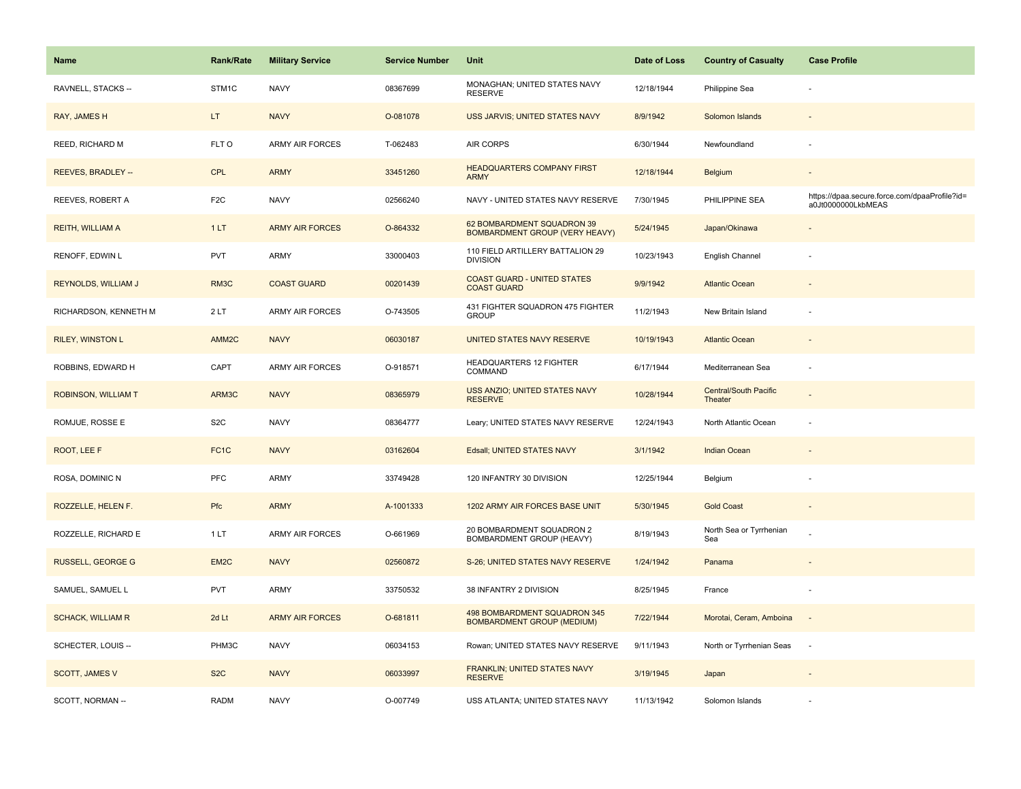| <b>Name</b>                | <b>Rank/Rate</b>  | <b>Military Service</b> | <b>Service Number</b> | Unit                                                                | Date of Loss | <b>Country of Casualty</b>              | <b>Case Profile</b>                                                 |
|----------------------------|-------------------|-------------------------|-----------------------|---------------------------------------------------------------------|--------------|-----------------------------------------|---------------------------------------------------------------------|
| RAVNELL, STACKS --         | STM1C             | <b>NAVY</b>             | 08367699              | MONAGHAN; UNITED STATES NAVY<br><b>RESERVE</b>                      | 12/18/1944   | Philippine Sea                          |                                                                     |
| RAY, JAMES H               | LT.               | <b>NAVY</b>             | O-081078              | USS JARVIS; UNITED STATES NAVY                                      | 8/9/1942     | Solomon Islands                         |                                                                     |
| REED, RICHARD M            | FLT O             | <b>ARMY AIR FORCES</b>  | T-062483              | AIR CORPS                                                           | 6/30/1944    | Newfoundland                            |                                                                     |
| <b>REEVES, BRADLEY --</b>  | <b>CPL</b>        | <b>ARMY</b>             | 33451260              | <b>HEADQUARTERS COMPANY FIRST</b><br><b>ARMY</b>                    | 12/18/1944   | Belgium                                 |                                                                     |
| REEVES, ROBERT A           | F <sub>2</sub> C  | <b>NAVY</b>             | 02566240              | NAVY - UNITED STATES NAVY RESERVE                                   | 7/30/1945    | PHILIPPINE SEA                          | https://dpaa.secure.force.com/dpaaProfile?id=<br>a0Jt0000000LkbMEAS |
| <b>REITH, WILLIAM A</b>    | 1LT               | <b>ARMY AIR FORCES</b>  | O-864332              | 62 BOMBARDMENT SQUADRON 39<br><b>BOMBARDMENT GROUP (VERY HEAVY)</b> | 5/24/1945    | Japan/Okinawa                           |                                                                     |
| RENOFF, EDWIN L            | <b>PVT</b>        | <b>ARMY</b>             | 33000403              | 110 FIELD ARTILLERY BATTALION 29<br><b>DIVISION</b>                 | 10/23/1943   | English Channel                         |                                                                     |
| <b>REYNOLDS, WILLIAM J</b> | RM3C              | <b>COAST GUARD</b>      | 00201439              | <b>COAST GUARD - UNITED STATES</b><br><b>COAST GUARD</b>            | 9/9/1942     | <b>Atlantic Ocean</b>                   |                                                                     |
| RICHARDSON, KENNETH M      | 2LT               | ARMY AIR FORCES         | O-743505              | 431 FIGHTER SQUADRON 475 FIGHTER<br><b>GROUP</b>                    | 11/2/1943    | New Britain Island                      |                                                                     |
| <b>RILEY, WINSTON L</b>    | AMM <sub>2C</sub> | <b>NAVY</b>             | 06030187              | UNITED STATES NAVY RESERVE                                          | 10/19/1943   | <b>Atlantic Ocean</b>                   |                                                                     |
| ROBBINS, EDWARD H          | CAPT              | <b>ARMY AIR FORCES</b>  | O-918571              | HEADQUARTERS 12 FIGHTER<br>COMMAND                                  | 6/17/1944    | Mediterranean Sea                       |                                                                     |
| <b>ROBINSON, WILLIAM T</b> | ARM3C             | <b>NAVY</b>             | 08365979              | USS ANZIO; UNITED STATES NAVY<br><b>RESERVE</b>                     | 10/28/1944   | <b>Central/South Pacific</b><br>Theater |                                                                     |
| ROMJUE, ROSSE E            | S <sub>2</sub> C  | <b>NAVY</b>             | 08364777              | Leary; UNITED STATES NAVY RESERVE                                   | 12/24/1943   | North Atlantic Ocean                    |                                                                     |
| ROOT, LEE F                | FC <sub>1</sub> C | <b>NAVY</b>             | 03162604              | Edsall; UNITED STATES NAVY                                          | 3/1/1942     | <b>Indian Ocean</b>                     |                                                                     |
| ROSA, DOMINIC N            | <b>PFC</b>        | ARMY                    | 33749428              | 120 INFANTRY 30 DIVISION                                            | 12/25/1944   | Belgium                                 |                                                                     |
| ROZZELLE, HELEN F.         | Pfc               | <b>ARMY</b>             | A-1001333             | 1202 ARMY AIR FORCES BASE UNIT                                      | 5/30/1945    | <b>Gold Coast</b>                       |                                                                     |
| ROZZELLE, RICHARD E        | 1 LT              | <b>ARMY AIR FORCES</b>  | O-661969              | 20 BOMBARDMENT SQUADRON 2<br>BOMBARDMENT GROUP (HEAVY)              | 8/19/1943    | North Sea or Tyrrhenian<br>Sea          |                                                                     |
| <b>RUSSELL, GEORGE G</b>   | EM <sub>2C</sub>  | <b>NAVY</b>             | 02560872              | S-26; UNITED STATES NAVY RESERVE                                    | 1/24/1942    | Panama                                  |                                                                     |
| SAMUEL, SAMUEL L           | <b>PVT</b>        | <b>ARMY</b>             | 33750532              | 38 INFANTRY 2 DIVISION                                              | 8/25/1945    | France                                  |                                                                     |
| <b>SCHACK, WILLIAM R</b>   | 2d Lt             | <b>ARMY AIR FORCES</b>  | O-681811              | 498 BOMBARDMENT SQUADRON 345<br><b>BOMBARDMENT GROUP (MEDIUM)</b>   | 7/22/1944    | Morotai, Ceram, Amboina                 | $\sim$                                                              |
| SCHECTER, LOUIS --         | PHM3C             | <b>NAVY</b>             | 06034153              | Rowan; UNITED STATES NAVY RESERVE                                   | 9/11/1943    | North or Tyrrhenian Seas                | $\sim$                                                              |
| <b>SCOTT, JAMES V</b>      | S <sub>2</sub> C  | <b>NAVY</b>             | 06033997              | FRANKLIN; UNITED STATES NAVY<br><b>RESERVE</b>                      | 3/19/1945    | Japan                                   |                                                                     |
| SCOTT, NORMAN --           | <b>RADM</b>       | <b>NAVY</b>             | O-007749              | USS ATLANTA; UNITED STATES NAVY                                     | 11/13/1942   | Solomon Islands                         |                                                                     |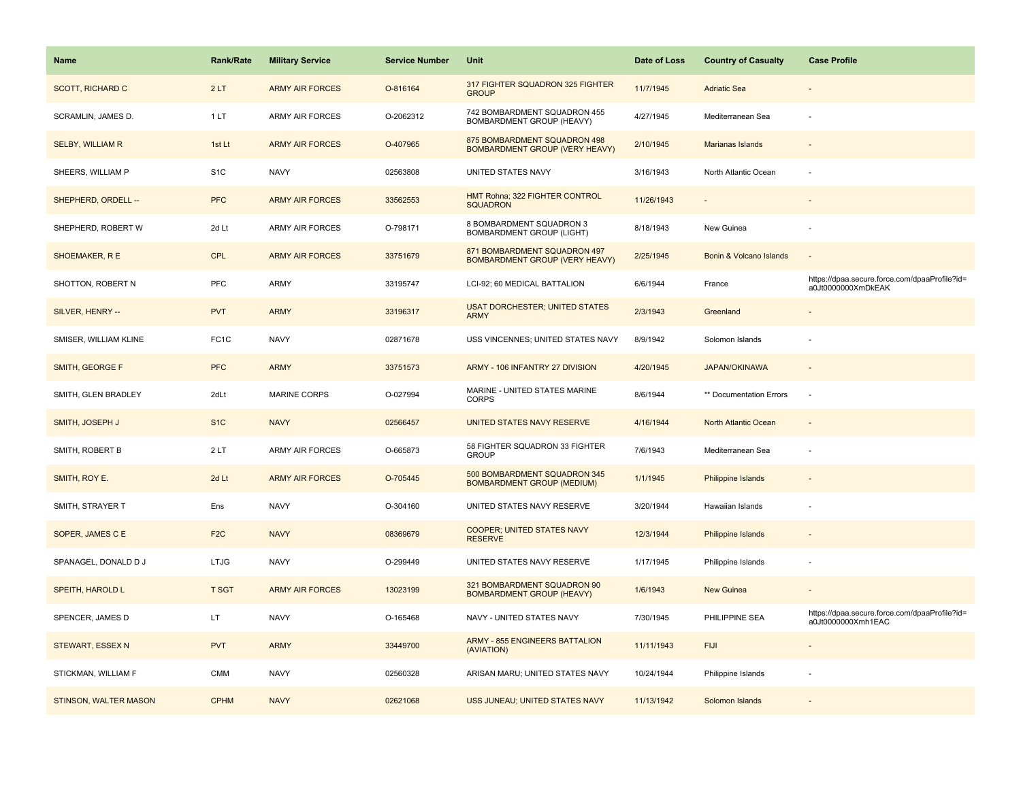| <b>Name</b>             | <b>Rank/Rate</b>  | <b>Military Service</b> | <b>Service Number</b> | Unit                                                                  | Date of Loss | <b>Country of Casualty</b> | <b>Case Profile</b>                                                 |
|-------------------------|-------------------|-------------------------|-----------------------|-----------------------------------------------------------------------|--------------|----------------------------|---------------------------------------------------------------------|
| <b>SCOTT, RICHARD C</b> | 2LT               | <b>ARMY AIR FORCES</b>  | O-816164              | 317 FIGHTER SQUADRON 325 FIGHTER<br><b>GROUP</b>                      | 11/7/1945    | <b>Adriatic Sea</b>        |                                                                     |
| SCRAMLIN, JAMES D.      | 1LT               | <b>ARMY AIR FORCES</b>  | O-2062312             | 742 BOMBARDMENT SQUADRON 455<br>BOMBARDMENT GROUP (HEAVY)             | 4/27/1945    | Mediterranean Sea          |                                                                     |
| <b>SELBY, WILLIAM R</b> | 1st Lt            | <b>ARMY AIR FORCES</b>  | O-407965              | 875 BOMBARDMENT SQUADRON 498<br><b>BOMBARDMENT GROUP (VERY HEAVY)</b> | 2/10/1945    | Marianas Islands           |                                                                     |
| SHEERS, WILLIAM P       | S <sub>1</sub> C  | <b>NAVY</b>             | 02563808              | UNITED STATES NAVY                                                    | 3/16/1943    | North Atlantic Ocean       |                                                                     |
| SHEPHERD, ORDELL --     | <b>PFC</b>        | <b>ARMY AIR FORCES</b>  | 33562553              | HMT Rohna; 322 FIGHTER CONTROL<br><b>SQUADRON</b>                     | 11/26/1943   |                            |                                                                     |
| SHEPHERD, ROBERT W      | 2d Lt             | <b>ARMY AIR FORCES</b>  | O-798171              | 8 BOMBARDMENT SQUADRON 3<br><b>BOMBARDMENT GROUP (LIGHT)</b>          | 8/18/1943    | New Guinea                 |                                                                     |
| SHOEMAKER, R E          | <b>CPL</b>        | <b>ARMY AIR FORCES</b>  | 33751679              | 871 BOMBARDMENT SQUADRON 497<br><b>BOMBARDMENT GROUP (VERY HEAVY)</b> | 2/25/1945    | Bonin & Volcano Islands    |                                                                     |
| SHOTTON, ROBERT N       | <b>PFC</b>        | ARMY                    | 33195747              | LCI-92; 60 MEDICAL BATTALION                                          | 6/6/1944     | France                     | https://dpaa.secure.force.com/dpaaProfile?id=<br>a0Jt0000000XmDkEAK |
| SILVER, HENRY --        | <b>PVT</b>        | <b>ARMY</b>             | 33196317              | <b>USAT DORCHESTER; UNITED STATES</b><br><b>ARMY</b>                  | 2/3/1943     | Greenland                  |                                                                     |
| SMISER, WILLIAM KLINE   | FC <sub>1</sub> C | <b>NAVY</b>             | 02871678              | USS VINCENNES; UNITED STATES NAVY                                     | 8/9/1942     | Solomon Islands            |                                                                     |
| SMITH, GEORGE F         | <b>PFC</b>        | <b>ARMY</b>             | 33751573              | ARMY - 106 INFANTRY 27 DIVISION                                       | 4/20/1945    | <b>JAPAN/OKINAWA</b>       |                                                                     |
| SMITH, GLEN BRADLEY     | 2dLt              | <b>MARINE CORPS</b>     | O-027994              | MARINE - UNITED STATES MARINE<br><b>CORPS</b>                         | 8/6/1944     | ** Documentation Errors    |                                                                     |
| SMITH, JOSEPH J         | S <sub>1C</sub>   | <b>NAVY</b>             | 02566457              | UNITED STATES NAVY RESERVE                                            | 4/16/1944    | North Atlantic Ocean       |                                                                     |
| SMITH, ROBERT B         | 2LT               | ARMY AIR FORCES         | O-665873              | 58 FIGHTER SQUADRON 33 FIGHTER<br><b>GROUP</b>                        | 7/6/1943     | Mediterranean Sea          |                                                                     |
| SMITH, ROY E.           | 2d Lt             | <b>ARMY AIR FORCES</b>  | O-705445              | 500 BOMBARDMENT SQUADRON 345<br><b>BOMBARDMENT GROUP (MEDIUM)</b>     | 1/1/1945     | Philippine Islands         |                                                                     |
| SMITH, STRAYER T        | Ens               | <b>NAVY</b>             | O-304160              | UNITED STATES NAVY RESERVE                                            | 3/20/1944    | Hawaiian Islands           |                                                                     |
| SOPER, JAMES C E        | F <sub>2C</sub>   | <b>NAVY</b>             | 08369679              | <b>COOPER; UNITED STATES NAVY</b><br><b>RESERVE</b>                   | 12/3/1944    | <b>Philippine Islands</b>  |                                                                     |
| SPANAGEL, DONALD D J    | <b>LTJG</b>       | <b>NAVY</b>             | O-299449              | UNITED STATES NAVY RESERVE                                            | 1/17/1945    | Philippine Islands         |                                                                     |
| SPEITH, HAROLD L        | <b>T SGT</b>      | <b>ARMY AIR FORCES</b>  | 13023199              | 321 BOMBARDMENT SQUADRON 90<br><b>BOMBARDMENT GROUP (HEAVY)</b>       | 1/6/1943     | New Guinea                 |                                                                     |
| SPENCER, JAMES D        | LT                | <b>NAVY</b>             | O-165468              | NAVY - UNITED STATES NAVY                                             | 7/30/1945    | PHILIPPINE SEA             | https://dpaa.secure.force.com/dpaaProfile?id=<br>a0Jt0000000Xmh1EAC |
| STEWART, ESSEX N        | <b>PVT</b>        | <b>ARMY</b>             | 33449700              | <b>ARMY - 855 ENGINEERS BATTALION</b><br>(AVIATION)                   | 11/11/1943   | <b>FIJI</b>                |                                                                     |
| STICKMAN, WILLIAM F     | <b>CMM</b>        | <b>NAVY</b>             | 02560328              | ARISAN MARU; UNITED STATES NAVY                                       | 10/24/1944   | Philippine Islands         |                                                                     |
| STINSON, WALTER MASON   | <b>CPHM</b>       | <b>NAVY</b>             | 02621068              | USS JUNEAU; UNITED STATES NAVY                                        | 11/13/1942   | Solomon Islands            |                                                                     |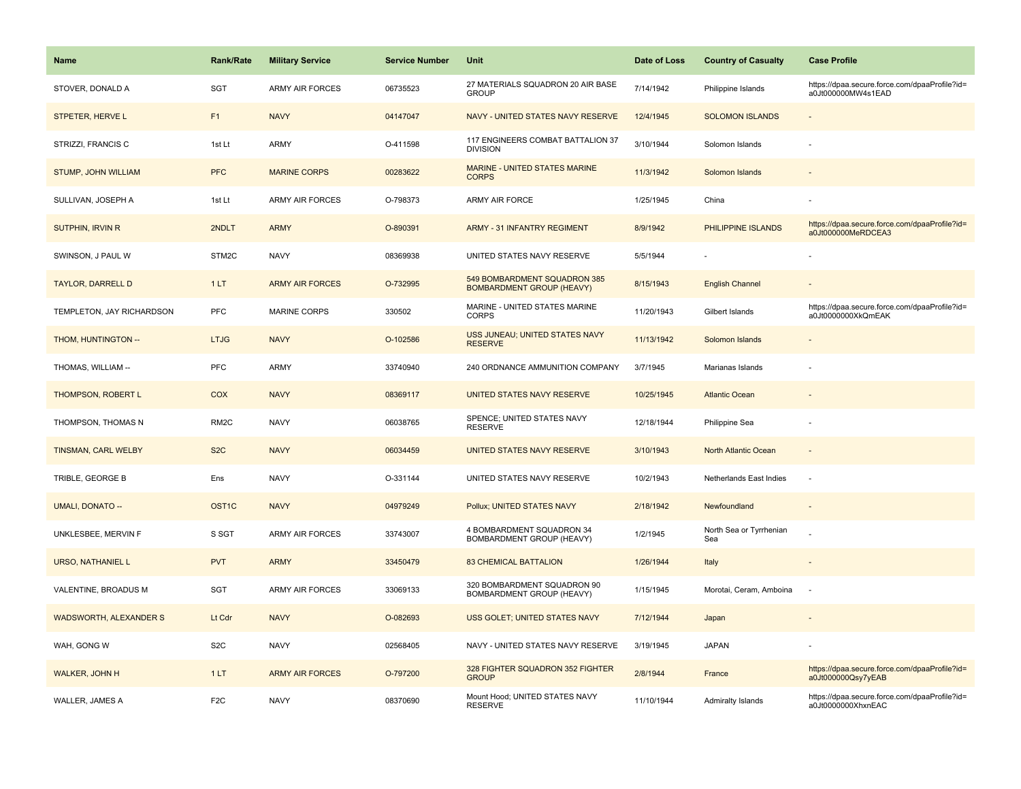| Name                          | <b>Rank/Rate</b>  | <b>Military Service</b> | <b>Service Number</b> | Unit                                                             | Date of Loss | <b>Country of Casualty</b>     | <b>Case Profile</b>                                                 |
|-------------------------------|-------------------|-------------------------|-----------------------|------------------------------------------------------------------|--------------|--------------------------------|---------------------------------------------------------------------|
| STOVER, DONALD A              | <b>SGT</b>        | <b>ARMY AIR FORCES</b>  | 06735523              | 27 MATERIALS SQUADRON 20 AIR BASE<br><b>GROUP</b>                | 7/14/1942    | Philippine Islands             | https://dpaa.secure.force.com/dpaaProfile?id=<br>a0Jt000000MW4s1EAD |
| STPETER, HERVE L              | F1                | <b>NAVY</b>             | 04147047              | NAVY - UNITED STATES NAVY RESERVE                                | 12/4/1945    | <b>SOLOMON ISLANDS</b>         | ÷,                                                                  |
| STRIZZI, FRANCIS C            | 1st Lt            | <b>ARMY</b>             | O-411598              | 117 ENGINEERS COMBAT BATTALION 37<br><b>DIVISION</b>             | 3/10/1944    | Solomon Islands                |                                                                     |
| STUMP, JOHN WILLIAM           | <b>PFC</b>        | <b>MARINE CORPS</b>     | 00283622              | MARINE - UNITED STATES MARINE<br><b>CORPS</b>                    | 11/3/1942    | Solomon Islands                |                                                                     |
| SULLIVAN, JOSEPH A            | 1st Lt            | <b>ARMY AIR FORCES</b>  | O-798373              | <b>ARMY AIR FORCE</b>                                            | 1/25/1945    | China                          |                                                                     |
| <b>SUTPHIN, IRVIN R</b>       | 2NDLT             | <b>ARMY</b>             | O-890391              | <b>ARMY - 31 INFANTRY REGIMENT</b>                               | 8/9/1942     | PHILIPPINE ISLANDS             | https://dpaa.secure.force.com/dpaaProfile?id=<br>a0Jt000000MeRDCEA3 |
| SWINSON, J PAUL W             | STM2C             | <b>NAVY</b>             | 08369938              | UNITED STATES NAVY RESERVE                                       | 5/5/1944     |                                |                                                                     |
| <b>TAYLOR, DARRELL D</b>      | 1LT               | <b>ARMY AIR FORCES</b>  | O-732995              | 549 BOMBARDMENT SQUADRON 385<br><b>BOMBARDMENT GROUP (HEAVY)</b> | 8/15/1943    | <b>English Channel</b>         |                                                                     |
| TEMPLETON, JAY RICHARDSON     | PFC               | <b>MARINE CORPS</b>     | 330502                | MARINE - UNITED STATES MARINE<br><b>CORPS</b>                    | 11/20/1943   | Gilbert Islands                | https://dpaa.secure.force.com/dpaaProfile?id=<br>a0Jt0000000XkQmEAK |
| THOM, HUNTINGTON --           | <b>LTJG</b>       | <b>NAVY</b>             | O-102586              | USS JUNEAU; UNITED STATES NAVY<br><b>RESERVE</b>                 | 11/13/1942   | Solomon Islands                |                                                                     |
| THOMAS, WILLIAM --            | PFC               | <b>ARMY</b>             | 33740940              | 240 ORDNANCE AMMUNITION COMPANY                                  | 3/7/1945     | Marianas Islands               |                                                                     |
| <b>THOMPSON, ROBERT L</b>     | <b>COX</b>        | <b>NAVY</b>             | 08369117              | UNITED STATES NAVY RESERVE                                       | 10/25/1945   | <b>Atlantic Ocean</b>          |                                                                     |
| THOMPSON, THOMAS N            | RM <sub>2</sub> C | <b>NAVY</b>             | 06038765              | SPENCE; UNITED STATES NAVY<br><b>RESERVE</b>                     | 12/18/1944   | Philippine Sea                 |                                                                     |
| <b>TINSMAN, CARL WELBY</b>    | S <sub>2</sub> C  | <b>NAVY</b>             | 06034459              | UNITED STATES NAVY RESERVE                                       | 3/10/1943    | North Atlantic Ocean           | $\blacksquare$                                                      |
| TRIBLE, GEORGE B              | Ens               | <b>NAVY</b>             | O-331144              | UNITED STATES NAVY RESERVE                                       | 10/2/1943    | Netherlands East Indies        | ÷,                                                                  |
| <b>UMALI, DONATO --</b>       | OST <sub>1C</sub> | <b>NAVY</b>             | 04979249              | Pollux; UNITED STATES NAVY                                       | 2/18/1942    | Newfoundland                   |                                                                     |
| UNKLESBEE, MERVIN F           | S SGT             | ARMY AIR FORCES         | 33743007              | 4 BOMBARDMENT SQUADRON 34<br>BOMBARDMENT GROUP (HEAVY)           | 1/2/1945     | North Sea or Tyrrhenian<br>Sea |                                                                     |
| <b>URSO, NATHANIEL L</b>      | <b>PVT</b>        | <b>ARMY</b>             | 33450479              | <b>83 CHEMICAL BATTALION</b>                                     | 1/26/1944    | Italy                          |                                                                     |
| VALENTINE, BROADUS M          | <b>SGT</b>        | ARMY AIR FORCES         | 33069133              | 320 BOMBARDMENT SQUADRON 90<br>BOMBARDMENT GROUP (HEAVY)         | 1/15/1945    | Morotai, Ceram, Amboina        | $\overline{\phantom{a}}$                                            |
| <b>WADSWORTH, ALEXANDER S</b> | Lt Cdr            | <b>NAVY</b>             | O-082693              | USS GOLET; UNITED STATES NAVY                                    | 7/12/1944    | Japan                          |                                                                     |
| WAH, GONG W                   | S <sub>2</sub> C  | <b>NAVY</b>             | 02568405              | NAVY - UNITED STATES NAVY RESERVE                                | 3/19/1945    | <b>JAPAN</b>                   |                                                                     |
| WALKER, JOHN H                | 1LT               | <b>ARMY AIR FORCES</b>  | O-797200              | 328 FIGHTER SQUADRON 352 FIGHTER<br><b>GROUP</b>                 | 2/8/1944     | France                         | https://dpaa.secure.force.com/dpaaProfile?id=<br>a0Jt000000Qsy7yEAB |
| WALLER, JAMES A               | F <sub>2</sub> C  | <b>NAVY</b>             | 08370690              | Mount Hood; UNITED STATES NAVY<br><b>RESERVE</b>                 | 11/10/1944   | Admiralty Islands              | https://dpaa.secure.force.com/dpaaProfile?id=<br>a0Jt0000000XhxnEAC |